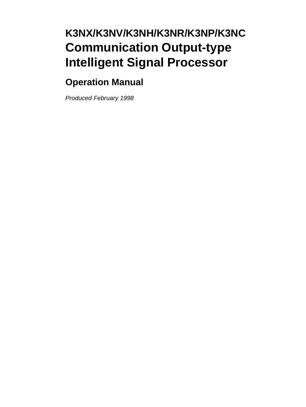# **K3NX/K3NV/K3NH/K3NR/K3NP/K3NC Communication Output-type Intelligent Signal Processor**

**Operation Manual**

Produced February 1998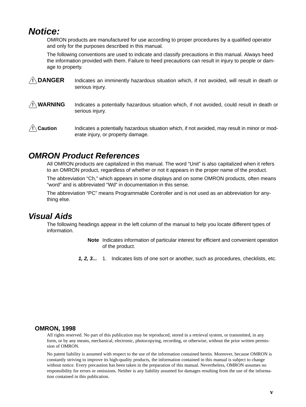# **Notice:**

OMRON products are manufactured for use according to proper procedures by a qualified operator and only for the purposes described in this manual.

The following conventions are used to indicate and classify precautions in this manual. Always heed the information provided with them. Failure to heed precautions can result in injury to people or damage to property.

- **/!\DANGER DANGER** Indicates an imminently hazardous situation which, if not avoided, will result in death or serious injury.
- **! WARNING** Indicates a potentially hazardous situation which, if not avoided, could result in death or serious injury.
- **/!**∖Caution **Caution** Indicates a potentially hazardous situation which, if not avoided, may result in minor or moderate injury, or property damage.

### **OMRON Product References**

All OMRON products are capitalized in this manual. The word "Unit" is also capitalized when it refers to an OMRON product, regardless of whether or not it appears in the proper name of the product.

The abbreviation "Ch," which appears in some displays and on some OMRON products, often means "word" and is abbreviated "Wd" in documentation in this sense.

The abbreviation "PC" means Programmable Controller and is not used as an abbreviation for anything else.

## **Visual Aids**

The following headings appear in the left column of the manual to help you locate different types of information.

- **Note** Indicates information of particular interest for efficient and convenient operation of the product.
- **1, 2, 3...** 1. Indicates lists of one sort or another, such as procedures, checklists, etc.

#### **OMRON, 1998**

All rights reserved. No part of this publication may be reproduced, stored in a retrieval system, or transmitted, in any form, or by any means, mechanical, electronic, photocopying, recording, or otherwise, without the prior written permission of OMRON.

No patent liability is assumed with respect to the use of the information contained herein. Moreover, because OMRON is constantly striving to improve its high-quality products, the information contained in this manual is subject to change without notice. Every precaution has been taken in the preparation of this manual. Nevertheless, OMRON assumes no responsibility for errors or omissions. Neither is any liability assumed for damages resulting from the use of the information contained in this publication.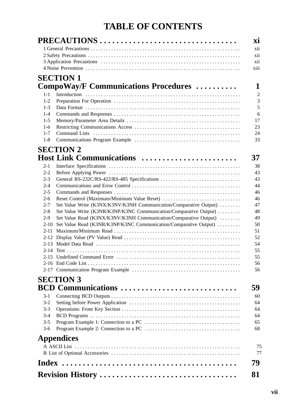# **TABLE OF CONTENTS**

|          | PRECAUTIONS                                                       | xi             |
|----------|-------------------------------------------------------------------|----------------|
|          |                                                                   | xii            |
|          |                                                                   | xii            |
|          |                                                                   | xii            |
|          |                                                                   | xiii           |
|          | <b>SECTION 1</b>                                                  |                |
|          |                                                                   |                |
|          | <b>CompoWay/F Communications Procedures </b>                      | 1              |
| $1 - 1$  |                                                                   | $\overline{2}$ |
| $1-2$    |                                                                   | 3              |
| $1 - 3$  |                                                                   | 5              |
| $1 - 4$  |                                                                   | 6              |
| $1-5$    |                                                                   | 17             |
| $1-6$    |                                                                   | 23             |
| $1 - 7$  |                                                                   | 24             |
| $1 - 8$  |                                                                   | 33             |
|          | <b>SECTION 2</b>                                                  |                |
|          | Host Link Communications                                          | 37             |
| $2 - 1$  |                                                                   | 38             |
| $2 - 2$  |                                                                   | 43             |
| $2 - 3$  | General RS-232C/RS-422/RS-485 Specifications                      | 43             |
| $2 - 4$  |                                                                   | 44             |
| $2 - 5$  |                                                                   | 46             |
| $2-6$    |                                                                   | 46             |
| $2 - 7$  | Set Value Write (K3NX/K3NV/K3NH Communication/Comparative Output) | 47             |
| $2 - 8$  | Set Value Write (K3NR/K3NP/K3NC Communication/Comparative Output) | 48             |
| $2-9$    | Set Value Read (K3NX/K3NV/K3NH Communication/Comparative Output)  | 49             |
| $2 - 10$ | Set Value Read (K3NR/K3NP/K3NC Communication/Comparative Output)  | 50             |
| $2 - 11$ |                                                                   | 51             |
|          |                                                                   | 52             |
|          |                                                                   | 54             |
|          |                                                                   | 55             |
|          |                                                                   | 55             |
|          |                                                                   | 56             |
|          |                                                                   | 56             |
|          | <b>SECTION 3</b>                                                  |                |
|          | BCD Communications                                                | 59             |
| $3-1$    |                                                                   | 60             |
| $3-2$    |                                                                   | 64             |
| $3 - 3$  |                                                                   | 64             |
| $3-4$    |                                                                   | 64             |
| $3 - 5$  |                                                                   | 65             |
| $3-6$    |                                                                   | 68             |
|          |                                                                   |                |
|          | <b>Appendices</b>                                                 |                |
|          |                                                                   | 75             |
|          |                                                                   | 77             |
|          |                                                                   | 79             |
|          | Revision History                                                  | 81             |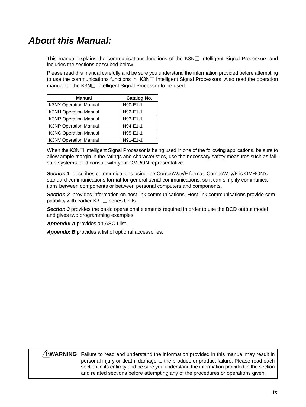# **About this Manual:**

This manual explains the communications functions of the  $K3N<sub>II</sub>$  Intelligent Signal Processors and includes the sections described below.

Please read this manual carefully and be sure you understand the information provided before attempting to use the communications functions in K3N
Intelligent Signal Processors. Also read the operation manual for the  $K3N\Box$  Intelligent Signal Processor to be used.

| <b>Manual</b>                | <b>Catalog No.</b> |
|------------------------------|--------------------|
| <b>K3NX Operation Manual</b> | N90-E1-1           |
| <b>K3NH Operation Manual</b> | N92-E1-1           |
| <b>K3NR Operation Manual</b> | N93-E1-1           |
| <b>K3NP Operation Manual</b> | N94-E1-1           |
| <b>K3NC Operation Manual</b> | N95-E1-1           |
| <b>K3NV Operation Manual</b> | N91-E1-1           |

When the K3N $\Box$  Intelligent Signal Processor is being used in one of the following applications, be sure to allow ample margin in the ratings and characteristics, use the necessary safety measures such as failsafe systems, and consult with your OMRON representative.

**Section 1** describes communications using the CompoWay/F format. CompoWay/F is OMRON's standard communications format for general serial communications, so it can simplify communications between components or between personal computers and components.

**Section 2** provides information on host link communications. Host link communications provide compatibility with earlier  $K3T$ -series Units.

**Section 3** provides the basic operational elements required in order to use the BCD output model and gives two programming examples.

**Appendix A** provides an ASCII list.

**Appendix B** provides a list of optional accessories.

**WARNING** Failure to read and understand the information provided in this manual may result in **!**personal injury or death, damage to the product, or product failure. Please read each section in its entirety and be sure you understand the information provided in the section and related sections before attempting any of the procedures or operations given.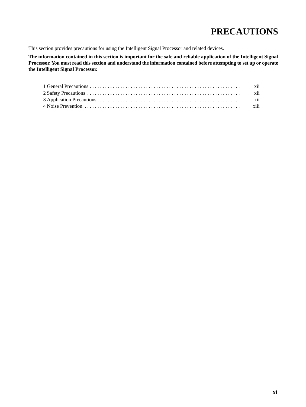# **PRECAUTIONS**

This section provides precautions for using the Intelligent Signal Processor and related devices.

**The information contained in this section is important for the safe and reliable application of the Intelligent Signal Processor. You must read this section and understand the information contained before attempting to set up or operate the Intelligent Signal Processor.**

| xii |
|-----|
|     |
|     |
|     |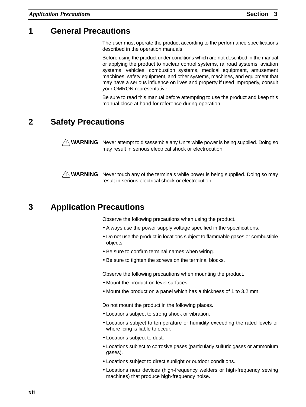## **1 General Precautions**

The user must operate the product according to the performance specifications described in the operation manuals.

Before using the product under conditions which are not described in the manual or applying the product to nuclear control systems, railroad systems, aviation systems, vehicles, combustion systems, medical equipment, amusement machines, safety equipment, and other systems, machines, and equipment that may have a serious influence on lives and property if used improperly, consult your OMRON representative.

Be sure to read this manual before attempting to use the product and keep this manual close at hand for reference during operation.

## **2 Safety Precautions**

**! WARNING** Never attempt to disassemble any Units while power is being supplied. Doing so may result in serious electrical shock or electrocution.



## **3 Application Precautions**

Observe the following precautions when using the product.

- Always use the power supply voltage specified in the specifications.
- Do not use the product in locations subject to flammable gases or combustible objects.
- Be sure to confirm terminal names when wiring.
- Be sure to tighten the screws on the terminal blocks.

Observe the following precautions when mounting the product.

- Mount the product on level surfaces.
- Mount the product on a panel which has a thickness of 1 to 3.2 mm.

Do not mount the product in the following places.

- Locations subject to strong shock or vibration.
- Locations subject to temperature or humidity exceeding the rated levels or where icing is liable to occur.
- Locations subject to dust.
- Locations subject to corrosive gases (particularly sulfuric gases or ammonium gases).
- Locations subject to direct sunlight or outdoor conditions.
- Locations near devices (high-frequency welders or high-frequency sewing machines) that produce high-frequency noise.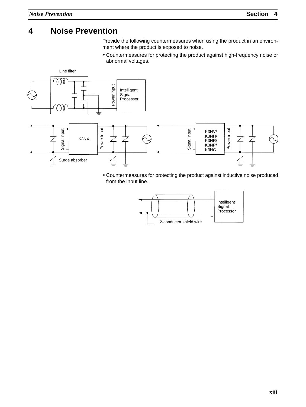# **4 Noise Prevention**

Provide the following countermeasures when using the product in an environment where the product is exposed to noise.

• Countermeasures for protecting the product against high-frequency noise or abnormal voltages.



• Countermeasures for protecting the product against inductive noise produced from the input line.

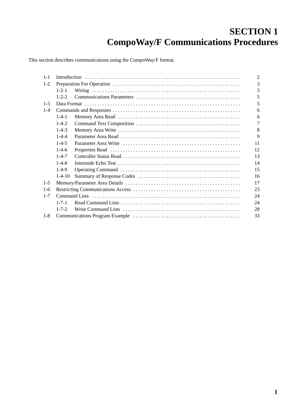# **SECTION 1 CompoWay/F Communications Procedures**

This section describes communications using the CompoWay/F format.

| $1 - 1$ |              |  |    |  |  |  |  |
|---------|--------------|--|----|--|--|--|--|
| $1 - 2$ |              |  |    |  |  |  |  |
|         | $1 - 2 - 1$  |  | 3  |  |  |  |  |
|         | $1 - 2 - 2$  |  | 5  |  |  |  |  |
| $1 - 3$ |              |  | 5  |  |  |  |  |
| $1 - 4$ |              |  | 6  |  |  |  |  |
|         | $1-4-1$      |  | 6  |  |  |  |  |
|         | $1 - 4 - 2$  |  | 7  |  |  |  |  |
|         | $1-4-3$      |  | 8  |  |  |  |  |
|         | $1 - 4 - 4$  |  | 9  |  |  |  |  |
|         | $1 - 4 - 5$  |  | 11 |  |  |  |  |
|         | $1 - 4 - 6$  |  | 12 |  |  |  |  |
|         | $1 - 4 - 7$  |  | 13 |  |  |  |  |
|         | $1-4-8$      |  | 14 |  |  |  |  |
|         | $1-4-9$      |  | 15 |  |  |  |  |
|         | $1 - 4 - 10$ |  | 16 |  |  |  |  |
| $1 - 5$ |              |  | 17 |  |  |  |  |
| $1-6$   | 23           |  |    |  |  |  |  |
| $1 - 7$ |              |  | 24 |  |  |  |  |
|         | $1 - 7 - 1$  |  | 24 |  |  |  |  |
|         | $1 - 7 - 2$  |  | 28 |  |  |  |  |
| $1 - 8$ | 33           |  |    |  |  |  |  |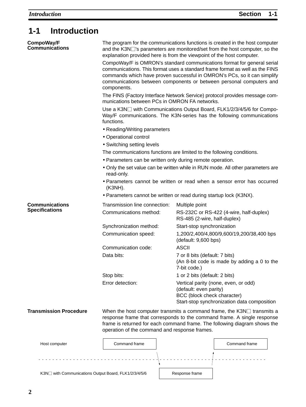# **1-1 Introduction**

| CompoWay/F<br><b>Communications</b>                   | The program for the communications functions is created in the host computer<br>and the K3N <sup>-</sup> 's parameters are monitored/set from the host computer, so the<br>explanation provided here is from the viewpoint of the host computer.                                                                          |                                                                                                                                              |                                                                                                                                                                                                                                     |  |  |  |
|-------------------------------------------------------|---------------------------------------------------------------------------------------------------------------------------------------------------------------------------------------------------------------------------------------------------------------------------------------------------------------------------|----------------------------------------------------------------------------------------------------------------------------------------------|-------------------------------------------------------------------------------------------------------------------------------------------------------------------------------------------------------------------------------------|--|--|--|
|                                                       | CompoWay/F is OMRON's standard communications format for general serial<br>communications. This format uses a standard frame format as well as the FINS<br>commands which have proven successful in OMRON's PCs, so it can simplify<br>communications between components or between personal computers and<br>components. |                                                                                                                                              |                                                                                                                                                                                                                                     |  |  |  |
|                                                       | munications between PCs in OMRON FA networks.                                                                                                                                                                                                                                                                             |                                                                                                                                              | The FINS (Factory Interface Network Service) protocol provides message com-                                                                                                                                                         |  |  |  |
|                                                       | functions.                                                                                                                                                                                                                                                                                                                |                                                                                                                                              | Use a K3N□ with Communications Output Board, FLK1/2/3/4/5/6 for Compo-<br>Way/F communications. The K3N-series has the following communications                                                                                     |  |  |  |
|                                                       | • Reading/Writing parameters                                                                                                                                                                                                                                                                                              |                                                                                                                                              |                                                                                                                                                                                                                                     |  |  |  |
|                                                       | • Operational control                                                                                                                                                                                                                                                                                                     |                                                                                                                                              |                                                                                                                                                                                                                                     |  |  |  |
|                                                       | • Switching setting levels                                                                                                                                                                                                                                                                                                |                                                                                                                                              |                                                                                                                                                                                                                                     |  |  |  |
|                                                       | The communications functions are limited to the following conditions.                                                                                                                                                                                                                                                     |                                                                                                                                              |                                                                                                                                                                                                                                     |  |  |  |
|                                                       | • Parameters can be written only during remote operation.                                                                                                                                                                                                                                                                 |                                                                                                                                              |                                                                                                                                                                                                                                     |  |  |  |
|                                                       | read-only.                                                                                                                                                                                                                                                                                                                |                                                                                                                                              | • Only the set value can be written while in RUN mode. All other parameters are                                                                                                                                                     |  |  |  |
|                                                       | • Parameters cannot be written or read when a sensor error has occurred<br>(K3NH).                                                                                                                                                                                                                                        |                                                                                                                                              |                                                                                                                                                                                                                                     |  |  |  |
|                                                       | • Parameters cannot be written or read during startup lock (K3NX).                                                                                                                                                                                                                                                        |                                                                                                                                              |                                                                                                                                                                                                                                     |  |  |  |
| <b>Communications</b>                                 | Transmission line connection:                                                                                                                                                                                                                                                                                             | Multiple point                                                                                                                               |                                                                                                                                                                                                                                     |  |  |  |
| <b>Specifications</b>                                 | Communications method:                                                                                                                                                                                                                                                                                                    |                                                                                                                                              | RS-232C or RS-422 (4-wire, half-duplex)<br>RS-485 (2-wire, half-duplex)                                                                                                                                                             |  |  |  |
|                                                       | Synchronization method:                                                                                                                                                                                                                                                                                                   | Start-stop synchronization                                                                                                                   |                                                                                                                                                                                                                                     |  |  |  |
|                                                       | Communication speed:                                                                                                                                                                                                                                                                                                      | (default: 9,600 bps)                                                                                                                         | 1,200/2,400/4,800/9,600/19,200/38,400 bps                                                                                                                                                                                           |  |  |  |
|                                                       | Communication code:                                                                                                                                                                                                                                                                                                       | <b>ASCII</b>                                                                                                                                 |                                                                                                                                                                                                                                     |  |  |  |
|                                                       | Data bits:                                                                                                                                                                                                                                                                                                                | 7 or 8 bits (default: 7 bits)<br>7-bit code.)                                                                                                | (An 8-bit code is made by adding a 0 to the                                                                                                                                                                                         |  |  |  |
|                                                       | Stop bits:                                                                                                                                                                                                                                                                                                                | 1 or 2 bits (default: 2 bits)                                                                                                                |                                                                                                                                                                                                                                     |  |  |  |
|                                                       | Error detection:                                                                                                                                                                                                                                                                                                          | Vertical parity (none, even, or odd)<br>(default: even parity)<br>BCC (block check character)<br>Start-stop synchronization data composition |                                                                                                                                                                                                                                     |  |  |  |
| <b>Transmission Procedure</b>                         |                                                                                                                                                                                                                                                                                                                           |                                                                                                                                              | When the host computer transmits a command frame, the $K3N\Box$ transmits a<br>response frame that corresponds to the command frame. A single response<br>frame is returned for each command frame. The following diagram shows the |  |  |  |
|                                                       | operation of the command and response frames.                                                                                                                                                                                                                                                                             |                                                                                                                                              |                                                                                                                                                                                                                                     |  |  |  |
| Host computer                                         | Command frame                                                                                                                                                                                                                                                                                                             |                                                                                                                                              | Command frame                                                                                                                                                                                                                       |  |  |  |
|                                                       |                                                                                                                                                                                                                                                                                                                           |                                                                                                                                              |                                                                                                                                                                                                                                     |  |  |  |
|                                                       |                                                                                                                                                                                                                                                                                                                           |                                                                                                                                              |                                                                                                                                                                                                                                     |  |  |  |
| K3N□ with Communications Output Board, FLK1/2/3/4/5/6 |                                                                                                                                                                                                                                                                                                                           | Response frame                                                                                                                               |                                                                                                                                                                                                                                     |  |  |  |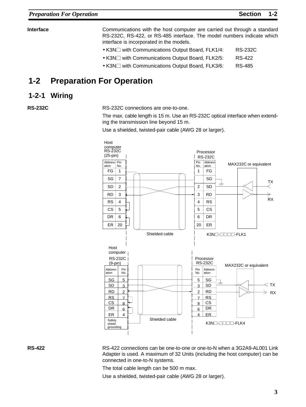#### **Interface**

Communications with the host computer are carried out through a standard RS-232C, RS-422, or RS-485 interface. The model numbers indicate which interface is incorporated in the models.

- K3N<sup>I</sup> with Communications Output Board, FLK1/4: RS-232C
- K3N $\Box$  with Communications Output Board, FLK2/5: RS-422
- K3N<sup>I</sup> with Communications Output Board, FLK3/6: RS-485

### **1-2 Preparation For Operation**

### **1-2-1 Wiring**

**RS-232C**

RS-232C connections are one-to-one.

The max. cable length is 15 m. Use an RS-232C optical interface when extending the transmission line beyond 15 m.

Use a shielded, twisted-pair cable (AWG 28 or larger).



**RS-422**

RS-422 connections can be one-to-one or one-to-N when a 3G2A9-AL001 Link Adapter is used. A maximum of 32 Units (including the host computer) can be connected in one-to-N systems.

The total cable length can be 500 m max.

Use a shielded, twisted-pair cable (AWG 28 or larger).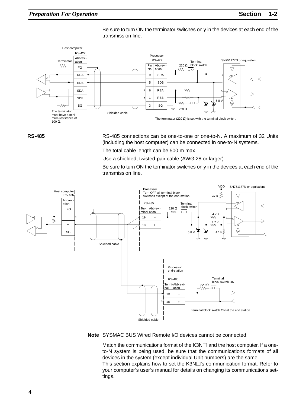Be sure to turn ON the terminator switches only in the devices at each end of the transmission line.



#### **RS-485**

RS-485 connections can be one-to-one or one-to-N. A maximum of 32 Units (including the host computer) can be connected in one-to-N systems.

The total cable length can be 500 m max.

Use a shielded, twisted-pair cable (AWG 28 or larger).

Be sure to turn ON the terminator switches only in the devices at each end of the transmission line.



**Note** SYSMAC BUS Wired Remote I/O devices cannot be connected.

Match the communications format of the K3N $\square$  and the host computer. If a oneto-N system is being used, be sure that the communications formats of all devices in the system (except individual Unit numbers) are the same. This section explains how to set the  $K3N\square$ 's communication format. Refer to your computer's user's manual for details on changing its communications settings.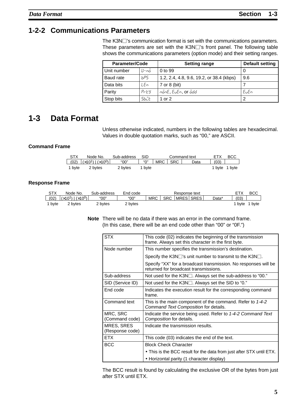## **1-2-2 Communications Parameters**

The K3N $\Box$ 's communication format is set with the communications parameters. These parameters are set with the  $K3N\square$ 's front panel. The following table shows the communications parameters (option mode) and their setting ranges.

| <b>Parameter/Code</b> |              | <b>Setting range</b>                     | Default setting |
|-----------------------|--------------|------------------------------------------|-----------------|
| Unit number           | U-nā         | 0 to 99                                  | 0               |
| Baud rate             | አዖና          | 1.2, 2.4, 4.8, 9.6, 19.2, or 38.4 (kbps) | 9.6             |
| Data bits             | LEn          | 7 or 8 (bit)                             |                 |
| Parity                | $P$ r $E$ y  | nanE, EuEn, <b>or</b> add                | EuEn            |
| Stop bits             | <b>Sbi</b> E | 1 or $2$                                 | 2               |

## **1-3 Data Format**

Unless otherwise indicated, numbers in the following tables are hexadecimal. Values in double quotation marks, such as "00," are ASCII.

#### **Command Frame**

| <b>STX</b> | Node No.                   | Sub-address | – SID  |           | Command text | <b>FTX</b> | <b>BCC</b>    |
|------------|----------------------------|-------------|--------|-----------|--------------|------------|---------------|
|            | $(02)$ $(x10^1)$ $(x10^0)$ | "00"        | "∩"    | MRC   SRC | Data         | (03)       |               |
| 1 byte     | 2 bytes                    | 2 bytes     | 1 byte |           |              |            | 1 byte 1 byte |

#### **Response Frame**

| <b>STX</b>        | Node No.                   | Sub-address | End code |  | Response text           |       |         | <b>BCC</b> |
|-------------------|----------------------------|-------------|----------|--|-------------------------|-------|---------|------------|
|                   | $(02)$ $(x10^1)$ $(x10^0)$ | "00"        | "00"     |  | MRC   SRC   MRES   SRES | Data* | (03)    |            |
| <sup>1</sup> byte | 2 bytes                    | 2 bytes     | 2 bvtes  |  |                         |       | 1 byte. | 1 bvte     |

**Note** There will be no data if there was an error in the command frame. (In this case, there will be an end code other than "00" or "0F.")

| <b>STX</b>                    | This code (02) indicates the beginning of the transmission<br>frame. Always set this character in the first byte. |  |  |  |  |
|-------------------------------|-------------------------------------------------------------------------------------------------------------------|--|--|--|--|
| Node number                   | This number specifies the transmission's destination.                                                             |  |  |  |  |
|                               | Specify the K3N $\square$ 's unit number to transmit to the K3N $\square$ .                                       |  |  |  |  |
|                               | Specify "XX" for a broadcast transmission. No responses will be<br>returned for broadcast transmissions.          |  |  |  |  |
| Sub-address                   | Not used for the K3N <sup>[1]</sup> . Always set the sub-address to "00."                                         |  |  |  |  |
| SID (Service ID)              | Not used for the K3N□. Always set the SID to "0."                                                                 |  |  |  |  |
| End code                      | Indicates the execution result for the corresponding command<br>frame.                                            |  |  |  |  |
| Command text                  | This is the main component of the command. Refer to 1-4-2<br>Command Text Composition for details.                |  |  |  |  |
| MRC, SRC<br>(Command code)    | Indicate the service being used. Refer to 1-4-2 Command Text<br>Composition for details.                          |  |  |  |  |
| MRES, SRES<br>(Response code) | Indicate the transmission results.                                                                                |  |  |  |  |
| <b>ETX</b>                    | This code (03) indicates the end of the text.                                                                     |  |  |  |  |
| <b>BCC</b>                    | <b>Block Check Character</b>                                                                                      |  |  |  |  |
|                               | • This is the BCC result for the data from just after STX until ETX.                                              |  |  |  |  |
|                               | • Horizontal parity (1 character display)                                                                         |  |  |  |  |

The BCC result is found by calculating the exclusive OR of the bytes from just after STX until ETX.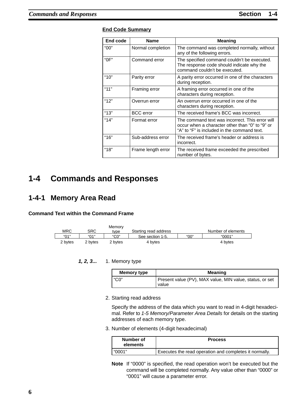| End code | Name               | <b>Meaning</b>                                                                                                                                    |  |  |
|----------|--------------------|---------------------------------------------------------------------------------------------------------------------------------------------------|--|--|
| "00"     | Normal completion  | The command was completed normally, without<br>any of the following errors.                                                                       |  |  |
| "OF"     | Command error      | The specified command couldn't be executed.<br>The response code should indicate why the<br>command couldn't be executed.                         |  |  |
| "10"     | Parity error       | A parity error occurred in one of the characters<br>during reception.                                                                             |  |  |
| "11"     | Framing error      | A framing error occurred in one of the<br>characters during reception.                                                                            |  |  |
| "12"     | Overrun error      | An overrun error occurred in one of the<br>characters during reception.                                                                           |  |  |
| "13"     | <b>BCC</b> error   | The received frame's BCC was incorrect.                                                                                                           |  |  |
| "14"     | Format error       | The command text was incorrect. This error will<br>occur when a character other than "0" to "9" or<br>"A" to "F" is included in the command text. |  |  |
| "16"     | Sub-address error  | The received frame's header or address is<br>incorrect.                                                                                           |  |  |
| "18"     | Frame length error | The received frame exceeded the prescribed<br>number of bytes.                                                                                    |  |  |

#### **End Code Summary**

## **1-4 Commands and Responses**

### **1-4-1 Memory Area Read**

**Command Text within the Command Frame**

|                                |                                       | Memory  |                       |      |                    |
|--------------------------------|---------------------------------------|---------|-----------------------|------|--------------------|
| MRC                            | SRC                                   | type    | Starting read address |      | Number of elements |
| $^{11}$ $\cap$ 1 <sup>11</sup> | $^{11}$ $\bigcap$ $\bigcap$ $\bigcap$ | "ርገ"    | See section 1-5.      | "00" | "0001"             |
| 2 bytes                        | 2 bytes                               | 2 bytes | 4 bytes               |      | 4 bytes            |

#### **1, 2, 3...** 1. Memory type

| Memory type | Meaning                                                           |
|-------------|-------------------------------------------------------------------|
| l "C0"      | Present value (PV), MAX value, MIN value, status, or set<br>value |

#### 2. Starting read address

Specify the address of the data which you want to read in 4-digit hexadecimal. Refer to 1-5 Memory/Parameter Area Details for details on the starting addresses of each memory type.

3. Number of elements (4-digit hexadecimal)

| Number of<br>elements | <b>Process</b>                                         |
|-----------------------|--------------------------------------------------------|
| "0001"                | Executes the read operation and completes it normally. |

**Note** If "0000" is specified, the read operation won't be executed but the command will be completed normally. Any value other than "0000" or "0001" will cause a parameter error.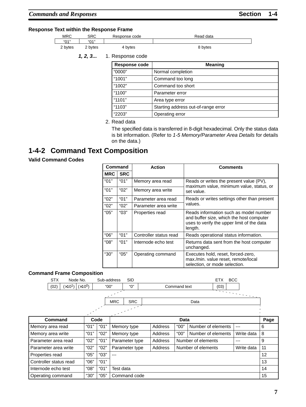#### **Response Text within the Response Frame**

| <b>MRC</b> | <b>SRC</b> | Response code        | Read data         |  |
|------------|------------|----------------------|-------------------|--|
| "01"       | "01"       |                      |                   |  |
| 2 bytes    | 2 bytes    | 4 bytes              | 8 bytes           |  |
|            | 1, 2, 3    | 1. Response code     |                   |  |
|            |            | <b>Response code</b> | <b>Meaning</b>    |  |
|            |            | "0000"               | Normal completion |  |
|            |            | "1001"               | Command too long  |  |
|            |            | "1002"               | Command too short |  |

| "1002" | Command too short                   |
|--------|-------------------------------------|
| "1100" | Parameter error                     |
| "1101" | Area type error                     |
| "1103" | Starting address out-of-range error |
| "2203" | Operating error                     |

2. Read data

The specified data is transferred in 8-digit hexadecimal. Only the status data is bit information. (Refer to 1-5 Memory/Parameter Area Details for details on the data.)

### **1-4-2 Command Text Composition**

#### **Valid Command Codes**

| Command    |               | <b>Action</b>          | Comments                                                                                                                                    |
|------------|---------------|------------------------|---------------------------------------------------------------------------------------------------------------------------------------------|
| <b>MRC</b> | <b>SRC</b>    |                        |                                                                                                                                             |
| "01"       | "01"          | Memory area read       | Reads or writes the present value (PV),<br>maximum value, minimum value, status, or                                                         |
| "01"       | $^{\circ}02"$ | Memory area write      | set value.                                                                                                                                  |
| "02"       | "01"          | Parameter area read    | Reads or writes settings other than present                                                                                                 |
| "02"       | "02"          | Parameter area write   | values.                                                                                                                                     |
| "05"       | "03"          | Properties read        | Reads information such as model number<br>and buffer size, which the host computer<br>uses to verify the upper limit of the data<br>length. |
| "06"       | "01"          | Controller status read | Reads operational status information.                                                                                                       |
| "08"       | "01"          | Internode echo test    | Returns data sent from the host computer<br>unchanged.                                                                                      |
| "30"       | "05"          | Operating command      | Executes hold, reset, forced-zero,<br>max./min. value reset, remote/local<br>selection, or mode selection.                                  |

#### **Command Frame Composition**



| Command                |      | Code |                |         | Data                             |                    |            | Page |
|------------------------|------|------|----------------|---------|----------------------------------|--------------------|------------|------|
| Memory area read       | "01" | "01" | Memory type    | Address | "00"                             | Number of elements | $---$      | 6    |
| Memory area write      | "01" | "02" | Memory type    | Address | "00"                             | Number of elements | Write data | 8    |
| Parameter area read    | "02" | "01" | Parameter type | Address |                                  | Number of elements | $---$      | 9    |
| Parameter area write   | "02" | "02" | Parameter type | Address | Write data<br>Number of elements |                    | 11         |      |
| Properties read        | "05" | "03" | $---$          |         | 12                               |                    |            |      |
| Controller status read | "06" | "01" |                |         | 13                               |                    |            |      |
| Internode echo test    | "08" | "01" | Test data      |         |                                  | 14                 |            |      |
| Operating command      | "30" | "05" | Command code   |         |                                  | 15                 |            |      |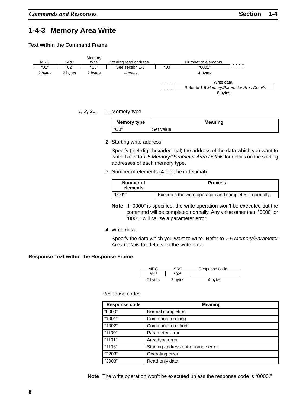### **1-4-3 Memory Area Write**

#### **Text within the Command Frame**



#### **1, 2, 3...** 1. Memory type

| <b>Memory type</b>                               | <b>Meaning</b> |
|--------------------------------------------------|----------------|
| $^{\prime\prime}$ $\cap$ $^{\prime\prime}$<br>UU | Set value      |

2. Starting write address

Specify (in 4-digit hexadecimal) the address of the data which you want to write. Refer to 1-5 Memory/Parameter Area Details for details on the starting addresses of each memory type.

3. Number of elements (4-digit hexadecimal)

| Number of<br>elements | <b>Process</b>                                          |
|-----------------------|---------------------------------------------------------|
| "0001"                | Executes the write operation and completes it normally. |

- **Note** If "0000" is specified, the write operation won't be executed but the command will be completed normally. Any value other than "0000" or "0001" will cause a parameter error.
- 4. Write data

Specify the data which you want to write. Refer to 1-5 Memory/Parameter Area Details for details on the write data.

#### **Response Text within the Response Frame**



#### Response codes

| <b>Response code</b> | <b>Meaning</b>                      |
|----------------------|-------------------------------------|
| "0000"               | Normal completion                   |
| "1001"               | Command too long                    |
| "1002"               | Command too short                   |
| "1100"               | Parameter error                     |
| "1101"               | Area type error                     |
| "1103"               | Starting address out-of-range error |
| "2203"               | Operating error                     |
| "3003"               | Read-only data                      |

**Note** The write operation won't be executed unless the response code is "0000."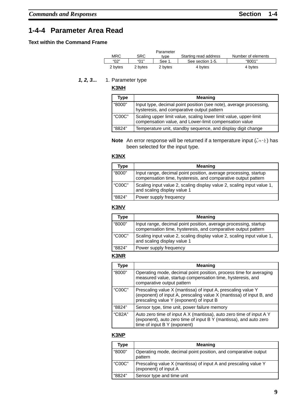## **1-4-4 Parameter Area Read**

#### **Text within the Command Frame**

|            |         | Parameter |                       |                    |
|------------|---------|-----------|-----------------------|--------------------|
| <b>MRC</b> | SRC     | tvpe      | Starting read address | Number of elements |
| "በጋ"       | "በ1"    | See 1     | See section 1-5.      | "8001"             |
| 2 bytes    | 2 bytes | 2 bvtes   | 4 bytes               | 4 bytes            |

#### **1, 2, 3... 1. Parameter type**

#### **K3NH**

| Type   | <b>Meaning</b>                                                                                                           |
|--------|--------------------------------------------------------------------------------------------------------------------------|
| "8000" | Input type, decimal point position (see note), average processing, hysteresis, and comparative output pattern            |
| "C00C" | Scaling upper limit value, scaling lower limit value, upper-limit compensation value, and Lower-limit compensation value |
| "8824" | Temperature unit, standby sequence, and display digit change                                                             |

**Note** An error response will be returned if a temperature input ( $\bar{c}_1$ - $\bar{c}_2$ ) has been selected for the input type.

#### **K3NX**

| Type   | <b>Meaning</b>                                                                                                                    |
|--------|-----------------------------------------------------------------------------------------------------------------------------------|
| "8000" | Input range, decimal point position, average processing, startup<br>compensation time, hysteresis, and comparative output pattern |
| "C00C" | Scaling input value 2, scaling display value 2, scaling input value 1,<br>and scaling display value 1                             |
| "8824" | Power supply frequency                                                                                                            |

#### **K3NV**

| Type   | <b>Meaning</b>                                                                                                                    |
|--------|-----------------------------------------------------------------------------------------------------------------------------------|
| "8000" | Input range, decimal point position, average processing, startup<br>compensation time, hysteresis, and comparative output pattern |
| "C00C" | Scaling input value 2, scaling display value 2, scaling input value 1,<br>and scaling display value 1                             |
| "8824" | Power supply frequency                                                                                                            |
|        |                                                                                                                                   |

#### **K3NR**

| Type   | <b>Meaning</b>                                                                                                                                                                   |
|--------|----------------------------------------------------------------------------------------------------------------------------------------------------------------------------------|
| "8000" | Operating mode, decimal point position, process time for averaging<br>measured value, startup compensation time, hysteresis, and<br>comparative output pattern                   |
| "C00C" | Prescaling value X (mantissa) of input A, prescaling value Y<br>(exponent) of input A, prescaling value X (mantissa) of input B, and<br>prescaling value Y (exponent) of input B |
| "8824" | Sensor type, time unit, power failure memory                                                                                                                                     |
| "C82A" | Auto zero time of input A X (mantissa), auto zero time of input A Y<br>(exponent), auto zero time of input B Y (mantissa), and auto zero<br>time of input B Y (exponent)         |

#### **K3NP**

| Type   | <b>Meaning</b>                                                                           |
|--------|------------------------------------------------------------------------------------------|
| "8000" | Operating mode, decimal point position, and comparative output<br>pattern                |
| "C00C" | Prescaling value X (mantissa) of input A and prescaling value Y<br>(exponent) of input A |
| "8824" | Sensor type and time unit                                                                |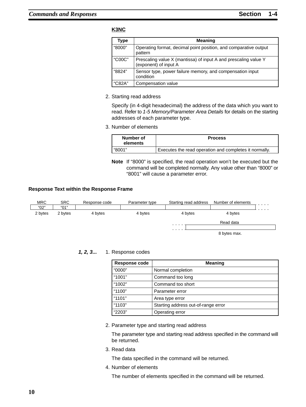#### **K3NC**

| Type   | <b>Meaning</b>                                                                           |  |
|--------|------------------------------------------------------------------------------------------|--|
| "8000" | Operating format, decimal point position, and comparative output<br>pattern              |  |
| "C00C" | Prescaling value X (mantissa) of input A and prescaling value Y<br>(exponent) of input A |  |
| "8824" | Sensor type, power failure memory, and compensation input<br>condition                   |  |
| "C82A" | Compensation value                                                                       |  |

2. Starting read address

Specify (in 4-digit hexadecimal) the address of the data which you want to read. Refer to 1-5 Memory/Parameter Area Details for details on the starting addresses of each parameter type.

3. Number of elements

| Number of<br>elements | <b>Process</b>                                         |
|-----------------------|--------------------------------------------------------|
| "8001"                | Executes the read operation and completes it normally. |

**Note** If "8000" is specified, the read operation won't be executed but the command will be completed normally. Any value other than "8000" or "8001" will cause a parameter error.

#### **Response Text within the Response Frame**



#### **1, 2, 3...** 1. Response codes

| <b>Response code</b> | <b>Meaning</b>                      |
|----------------------|-------------------------------------|
| "0000"               | Normal completion                   |
| "1001"               | Command too long                    |
| "1002"               | Command too short                   |
| "1100"               | Parameter error                     |
| "1101"               | Area type error                     |
| "1103"               | Starting address out-of-range error |
| "2203"               | Operating error                     |

2. Parameter type and starting read address

The parameter type and starting read address specified in the command will be returned.

3. Read data

The data specified in the command will be returned.

4. Number of elements

The number of elements specified in the command will be returned.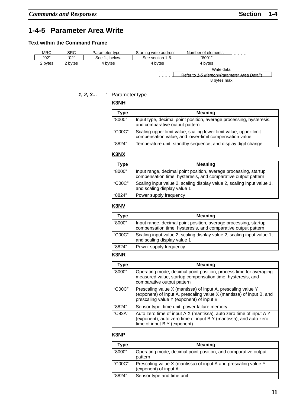### **1-4-5 Parameter Area Write**

#### **Text within the Command Frame**



#### **1, 2, 3...** 1. Parameter type

#### **K3NH**

| Type   | <b>Meaning</b>                                                                                                              |  |
|--------|-----------------------------------------------------------------------------------------------------------------------------|--|
| "8000" | Input type, decimal point position, average processing, hysteresis,<br>and comparative output pattern                       |  |
| "C00C" | Scaling upper limit value, scaling lower limit value, upper-limit<br>compensation value, and lower-limit compensation value |  |
| "8824" | Temperature unit, standby sequence, and display digit change                                                                |  |

#### **K3NX**

| Type   | <b>Meaning</b>                                                                                                                    |  |
|--------|-----------------------------------------------------------------------------------------------------------------------------------|--|
| "8000" | Input range, decimal point position, average processing, startup<br>compensation time, hysteresis, and comparative output pattern |  |
| "C00C" | Scaling input value 2, scaling display value 2, scaling input value 1,<br>and scaling display value 1                             |  |
| "8824" | Power supply frequency                                                                                                            |  |

#### **K3NV**

| Type   | <b>Meaning</b>                                                                                                                    |  |
|--------|-----------------------------------------------------------------------------------------------------------------------------------|--|
| "8000" | Input range, decimal point position, average processing, startup<br>compensation time, hysteresis, and comparative output pattern |  |
| "C00C" | Scaling input value 2, scaling display value 2, scaling input value 1,<br>and scaling display value 1                             |  |
| "8824" | Power supply frequency                                                                                                            |  |

#### **K3NR**

| Type   | <b>Meaning</b>                                                                                                                                                                   |
|--------|----------------------------------------------------------------------------------------------------------------------------------------------------------------------------------|
| "8000" | Operating mode, decimal point position, process time for averaging<br>measured value, startup compensation time, hysteresis, and<br>comparative output pattern                   |
| "C00C" | Prescaling value X (mantissa) of input A, prescaling value Y<br>(exponent) of input A, prescaling value X (mantissa) of input B, and<br>prescaling value Y (exponent) of input B |
| "8824" | Sensor type, time unit, power failure memory                                                                                                                                     |
| "C82A" | Auto zero time of input A X (mantissa), auto zero time of input A Y<br>(exponent), auto zero time of input B Y (mantissa), and auto zero<br>time of input B Y (exponent)         |

#### **K3NP**

| Type   | <b>Meaning</b>                                                                           |
|--------|------------------------------------------------------------------------------------------|
| "8000" | Operating mode, decimal point position, and comparative output<br>pattern                |
| "C00C" | Prescaling value X (mantissa) of input A and prescaling value Y<br>(exponent) of input A |
| "8824" | Sensor type and time unit                                                                |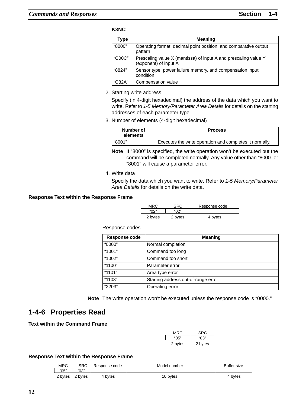#### **K3NC**

| Type   | <b>Meaning</b>                                                                           |  |
|--------|------------------------------------------------------------------------------------------|--|
| "8000" | Operating format, decimal point position, and comparative output<br>pattern              |  |
| "C00C" | Prescaling value X (mantissa) of input A and prescaling value Y<br>(exponent) of input A |  |
| "8824" | Sensor type, power failure memory, and compensation input<br>condition                   |  |
| "C82A" | Compensation value                                                                       |  |

2. Starting write address

Specify (in 4-digit hexadecimal) the address of the data which you want to write. Refer to 1-5 Memory/Parameter Area Details for details on the starting addresses of each parameter type.

3. Number of elements (4-digit hexadecimal)

| Number of<br>elements | <b>Process</b>                                          |
|-----------------------|---------------------------------------------------------|
| "8001"                | Executes the write operation and completes it normally. |

**Note** If "8000" is specified, the write operation won't be executed but the command will be completed normally. Any value other than "8000" or "8001" will cause a parameter error.

#### 4. Write data

Specify the data which you want to write. Refer to 1-5 Memory/Parameter Area Details for details on the write data.

#### **Response Text within the Response Frame**



Response codes

| Response code | <b>Meaning</b>                      |
|---------------|-------------------------------------|
| "0000"        | Normal completion                   |
| "1001"        | Command too long                    |
| "1002"        | Command too short                   |
| "1100"        | Parameter error                     |
| "1101"        | Area type error                     |
| "1103"        | Starting address out-of-range error |
| "2203"        | Operating error                     |

**Note** The write operation won't be executed unless the response code is "0000."

### **1-4-6 Properties Read**

**Text within the Command Frame**

| MRC     | <b>SRC</b> |
|---------|------------|
| "በ5"    | "በ?"       |
| 2 bytes | 2 bytes    |

#### **Response Text within the Response Frame**

| <b>MRC</b> | SRC     | Response code | Model number | Buffer size |
|------------|---------|---------------|--------------|-------------|
| "05"       | "03"    |               |              |             |
| 2 bytes    | 2 bytes | 4 bytes       | 10 bytes     | 4 bytes     |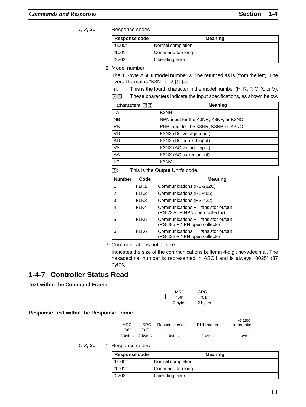**1, 2, 3...** 1. Response codes

| Response code | <b>Meaning</b>    |
|---------------|-------------------|
| "0000"        | Normal completion |
| "1001"        | Command too long  |
| "2203"        | Operating error   |

2. Model number

The 10-byte ASCII model number will be returned as is (from the left). The overall format is "K3N  $\Box$ -23-4."

 $\Box$ : This is the fourth character in the model number (H, R, P, C, X, or V).

**23:** These characters indicate the input specifications, as shown below.

| Characters 23 | <b>Meaning</b>                        |
|---------------|---------------------------------------|
| <b>TA</b>     | K3NH                                  |
| <b>NB</b>     | NPN input for the K3NR, K3NP, or K3NC |
| <b>PB</b>     | PNP input for the K3NR, K3NP, or K3NC |
| <b>VD</b>     | K3NX (DC voltage input)               |
| <b>AD</b>     | K3NX (DC current input)               |
| <b>VA</b>     | K3NX (AC voltage input)               |
| AA            | K3NX (AC current input)               |
| LC            | K <sub>3</sub> N <sub>V</sub>         |

**4.** This is the Output Unit's code.

| <b>Number</b>  | Code             | <b>Meaning</b>                                                       |
|----------------|------------------|----------------------------------------------------------------------|
|                | FLK1             | Communications (RS-232C)                                             |
| $\overline{2}$ | FLK <sub>2</sub> | Communications (RS-485)                                              |
| $\overline{3}$ | FLK3             | Communications (RS-422)                                              |
| $\overline{4}$ | FLK4             | Communications + Transistor output<br>(RS-232C + NPN open collector) |
| 5              | FLK <sub>5</sub> | Communications + Transistor output<br>(RS-485 + NPN open collector)  |
| 6              | FLK <sub>6</sub> | Communications + Transistor output<br>(RS-422 + NPN open collector)  |

3. Communications buffer size

Indicates the size of the communications buffer in 4-digit hexadecimal. The hexadecimal number is represented in ASCII and is always "0025" (37 bytes).

### **1-4-7 Controller Status Read**

**Text within the Command Frame**

| MRC     | <b>SRC</b> |
|---------|------------|
| "በ6"    | "በ1"       |
| 2 bytes | 2 bytes    |

**Response Text within the Response Frame**

| <b>MRC</b> | SRC             | Response code | <b>RUN status</b> | neialeu<br>information |  |
|------------|-----------------|---------------|-------------------|------------------------|--|
| "06"       | "ሰ1"            |               |                   |                        |  |
|            | 2 bytes 2 bytes | 4 bytes       | 4 bytes           | 4 bytes                |  |

#### **1, 2, 3...** 1. Response codes

| Response code | <b>Meaning</b>    |
|---------------|-------------------|
| "0000"        | Normal completion |
| "1001"        | Command too long  |
| "2203"        | Operating error   |

Related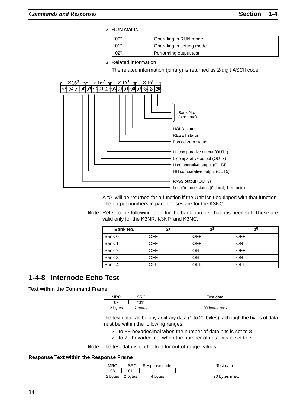2. RUN status

| "00"   | Operating in RUN mode     |
|--------|---------------------------|
| . "በ1" | Operating in setting mode |
| "02"   | Performing output test    |

3. Related information

The related information (binary) is returned as 2-digit ASCII code.



A "0" will be returned for a function if the Unit isn't equipped with that function. The output numbers in parentheses are for the K3NC.

**Note** Refer to the following table for the bank number that has been set. These are valid only for the K3NR, K3NP, and K3NC.

| Bank No. | $2^2$      | 2 <sup>1</sup> | 20         |
|----------|------------|----------------|------------|
| Bank 0   | <b>OFF</b> | <b>OFF</b>     | <b>OFF</b> |
| Bank 1   | <b>OFF</b> | <b>OFF</b>     | ON         |
| Bank 2   | <b>OFF</b> | ON             | <b>OFF</b> |
| Bank 3   | <b>OFF</b> | ON             | ON         |
| Bank 4   | OFF        | <b>OFF</b>     | <b>OFF</b> |

### **1-4-8 Internode Echo Test**

#### **Text within the Command Frame**

| MRC     | cפ∩     | Test data     |
|---------|---------|---------------|
| "08"    | 401"    |               |
| 2 bytes | 2 bytes | 20 bytes max. |

The test data can be any arbitrary data (1 to 20 bytes), although the bytes of data must be within the following ranges:

20 to FF hexadecimal when the number of data bits is set to 8.

20 to 7F hexadecimal when the number of data bits is set to 7.

**Note** The test data isn't checked for out-of range values.

#### **Response Text within the Response Frame**

| <b>MRC</b> | <b>SRC</b>                            | Response code | Test data     |
|------------|---------------------------------------|---------------|---------------|
| "08"       | $^{11}$ $\bigcap$ $\bigcap$ $\bigcap$ |               |               |
| 2 bytes    | 2 bvtes                               | 4 bytes       | 20 bytes max. |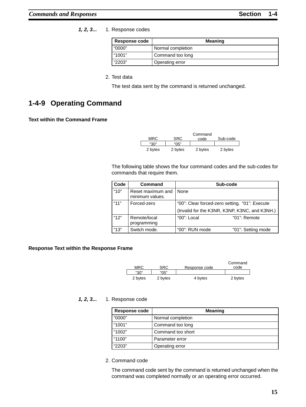**1, 2, 3...** 1. Response codes

| Response code | <b>Meaning</b>    |
|---------------|-------------------|
| "0000"        | Normal completion |
| "1001"        | Command too long  |
| "2203"        | Operating error   |

2. Test data

The test data sent by the command is returned unchanged.

### **1-4-9 Operating Command**

#### **Text within the Command Frame**



The following table shows the four command codes and the sub-codes for commands that require them.

| Code | Command                              |                | Sub-code                                       |
|------|--------------------------------------|----------------|------------------------------------------------|
| "10" | Reset maximum and<br>minimum values. | None           |                                                |
| "11" | Forced-zero                          |                | "00": Clear forced-zero setting. "01": Execute |
|      |                                      |                | (Invalid for the K3NR, K3NP, K3NC, and K3NH.)  |
| "12" | Remote/local<br>programming          | "00": Local    | "01": Remote                                   |
| "13" | Switch mode.                         | "00": RUN mode | "01": Setting mode                             |

#### **Response Text within the Response Frame**



#### **1, 2, 3...** 1. Response code

| <b>Response code</b> | <b>Meaning</b>    |
|----------------------|-------------------|
| "0000"               | Normal completion |
| "1001"               | Command too long  |
| "1002"               | Command too short |
| "1100"               | Parameter error   |
| "2203"               | Operating error   |

2. Command code

The command code sent by the command is returned unchanged when the command was completed normally or an operating error occurred.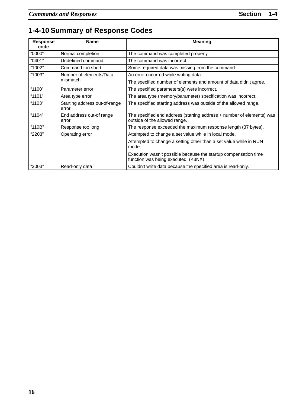# **1-4-10 Summary of Response Codes**

| <b>Response</b><br>code | <b>Name</b>                            | <b>Meaning</b>                                                                                         |
|-------------------------|----------------------------------------|--------------------------------------------------------------------------------------------------------|
| "0000"                  | Normal completion                      | The command was completed properly.                                                                    |
| "0401"                  | Undefined command                      | The command was incorrect.                                                                             |
| "1002"                  | Command too short                      | Some required data was missing from the command.                                                       |
| "1003"                  | Number of elements/Data                | An error occurred while writing data.                                                                  |
|                         | mismatch                               | The specified number of elements and amount of data didn't agree.                                      |
| "1100"                  | Parameter error                        | The specified parameters(s) were incorrect.                                                            |
| "1101"                  | Area type error                        | The area type (memory/parameter) specification was incorrect.                                          |
| "1103"                  | Starting address out-of-range<br>error | The specified starting address was outside of the allowed range.                                       |
| "1104"                  | End address out-of range<br>error      | The specified end address (starting address + number of elements) was<br>outside of the allowed range. |
| "110B"                  | Response too long                      | The response exceeded the maximum response length (37 bytes).                                          |
| "2203"                  | Operating error                        | Attempted to change a set value while in local mode.                                                   |
|                         |                                        | Attempted to change a setting other than a set value while in RUN<br>mode.                             |
|                         |                                        | Execution wasn't possible because the startup compensation time<br>function was being executed. (K3NX) |
| "3003"                  | Read-only data                         | Couldn't write data because the specified area is read-only.                                           |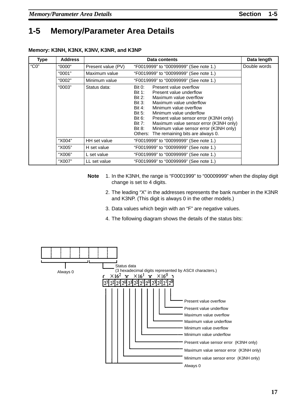# **1-5 Memory/Parameter Area Details**

| <b>Type</b> | <b>Address</b> |                    | Data contents                                                                                                                                                                                                                                                                                                                                                                                                                                                 | Data length  |
|-------------|----------------|--------------------|---------------------------------------------------------------------------------------------------------------------------------------------------------------------------------------------------------------------------------------------------------------------------------------------------------------------------------------------------------------------------------------------------------------------------------------------------------------|--------------|
| "C0"        | "0000"         | Present value (PV) | "F0019999" to "00099999" (See note 1.)                                                                                                                                                                                                                                                                                                                                                                                                                        | Double words |
|             | "0001"         | Maximum value      | "F0019999" to "00099999" (See note 1.)                                                                                                                                                                                                                                                                                                                                                                                                                        |              |
|             | "0002"         | Minimum value      | "F0019999" to "00099999" (See note 1.)                                                                                                                                                                                                                                                                                                                                                                                                                        |              |
|             | "0003"         | Status data:       | Present value overflow<br>Bit 0:<br>Bit 1:<br>Present value underflow<br>Bit $2:$<br>Maximum value overflow<br>Bit 3:<br>Maximum value underflow<br><b>Bit 4:</b><br>Minimum value overflow<br><b>Bit 5:</b><br>Minimum value underflow<br>Bit 6:<br>Present value sensor error (K3NH only)<br>Maximum value sensor error (K3NH only)<br><b>Bit 7:</b><br>Minimum value sensor error (K3NH only)<br><b>Bit 8:</b><br>Others: The remaining bits are always 0. |              |
|             | "X004"         | HH set value       | "F0019999" to "00099999" (See note 1.)                                                                                                                                                                                                                                                                                                                                                                                                                        |              |
|             | "X005"         | H set value        | "F0019999" to "00099999" (See note 1.)                                                                                                                                                                                                                                                                                                                                                                                                                        |              |
|             | "X006"         | L set value        | "F0019999" to "00099999" (See note 1.)                                                                                                                                                                                                                                                                                                                                                                                                                        |              |
|             | "X007"         | LL set value       | "F0019999" to "00099999" (See note 1.)                                                                                                                                                                                                                                                                                                                                                                                                                        |              |

#### **Memory: K3NH, K3NX, K3NV, K3NR, and K3NP**

- **Note** 1. In the K3NH, the range is "F0001999" to "00009999" when the display digit change is set to 4 digits.
	- 2. The leading "X" in the addresses represents the bank number in the K3NR and K3NP. (This digit is always 0 in the other models.)
	- 3. Data values which begin with an "F" are negative values.
	- 4. The following diagram shows the details of the status bits:

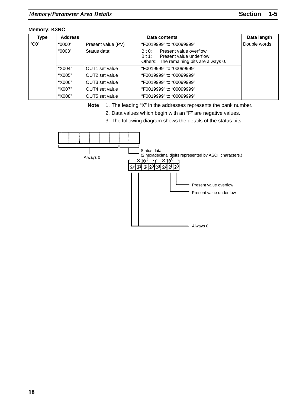#### **Memory: K3NC**

| Type | <b>Address</b> | Data contents      |                                                                                                                   | Data length  |
|------|----------------|--------------------|-------------------------------------------------------------------------------------------------------------------|--------------|
| "C0" | "0000"         | Present value (PV) | "F0019999" to "00099999"                                                                                          | Double words |
|      | "0003"         | Status data:       | Present value overflow<br>Bit 0:<br>Bit 1:<br>Present value underflow<br>Others: The remaining bits are always 0. |              |
|      | "X004"         | OUT1 set value     | "F0019999" to "00099999"                                                                                          |              |
|      | "X005"         | OUT2 set value     | "F0019999" to "00099999"                                                                                          |              |
|      | "X006"         | OUT3 set value     | "F0019999" to "00099999"                                                                                          |              |
|      | "X007"         | OUT4 set value     | "F0019999" to "00099999"                                                                                          |              |
|      | "X008"         | OUT5 set value     | "F0019999" to "00099999"                                                                                          |              |

Note 1. The leading "X" in the addresses represents the bank number.

2. Data values which begin with an "F" are negative values.

3. The following diagram shows the details of the status bits:

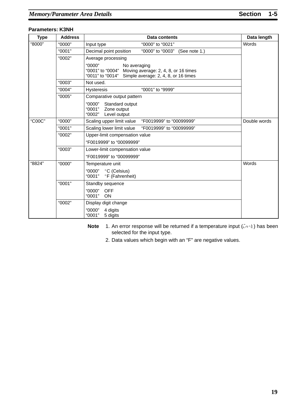#### **Parameters: K3NH**

| <b>Type</b> | <b>Address</b> | Data contents                                                                                                                            | Data length  |
|-------------|----------------|------------------------------------------------------------------------------------------------------------------------------------------|--------------|
| "8000"      | "0000"         | "0000" to "0021"<br>Input type                                                                                                           | Words        |
|             | "0001"         | "0000" to "0003"<br>Decimal point position<br>(See note 1.)                                                                              |              |
|             | "0002"         | Average processing                                                                                                                       |              |
|             |                | "0000"<br>No averaging<br>"0001" to "0004" Moving average: 2, 4, 8, or 16 times<br>"0011" to "0014" Simple average: 2, 4, 8, or 16 times |              |
|             | "0003"         | Not used.                                                                                                                                |              |
|             | "0004"         | "0001" to "9999"<br><b>Hysteresis</b>                                                                                                    |              |
|             | "0005"         | Comparative output pattern                                                                                                               |              |
|             |                | "0000"<br>Standard output<br>"0001"<br>Zone output<br>"0002"<br>Level output                                                             |              |
| "C00C"      | "0000"         | "F0019999" to "00099999"<br>Scaling upper limit value                                                                                    | Double words |
|             | "0001"         | Scaling lower limit value<br>"F0019999" to "00099999"                                                                                    |              |
|             | "0002"         | Upper-limit compensation value                                                                                                           |              |
|             |                | "F0019999" to "00099999"                                                                                                                 |              |
|             | "0003"         | Lower-limit compensation value                                                                                                           |              |
|             |                | "F0019999" to "00099999"                                                                                                                 |              |
| "8824"      | "0000"         | Temperature unit                                                                                                                         | Words        |
|             |                | "0000"<br>°C (Celsius)<br>"0001"<br>°F (Fahrenheit)                                                                                      |              |
|             | "0001"         | Standby sequence                                                                                                                         |              |
|             |                | "0000"<br><b>OFF</b><br>"0001"<br><b>ON</b>                                                                                              |              |
|             | "0002"         | Display digit change                                                                                                                     |              |
|             |                | "0000"<br>4 digits<br>"0001"<br>5 digits                                                                                                 |              |

- Note 1. An error response will be returned if a temperature input (Cn-E) has been selected for the input type.
	- 2. Data values which begin with an "F" are negative values.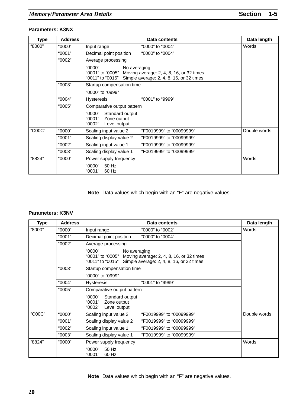#### **Parameters: K3NX**

| <b>Type</b> | <b>Address</b> | Data contents                                                                                                                                    | Data length  |
|-------------|----------------|--------------------------------------------------------------------------------------------------------------------------------------------------|--------------|
| "8000"      | "0000"         | "0000" to "0004"<br>Input range                                                                                                                  | Words        |
|             | "0001"         | "0000" to "0004"<br>Decimal point position                                                                                                       |              |
|             | "0002"         | Average processing                                                                                                                               |              |
|             |                | "0000"<br>No averaging<br>"0001" to "0005" Moving average: 2, 4, 8, 16, or 32 times<br>"0011" to "0015" Simple average: 2, 4, 8, 16, or 32 times |              |
|             | "0003"         | Startup compensation time                                                                                                                        |              |
|             |                | "0000" to "0999"                                                                                                                                 |              |
|             | "0004"         | "0001" to "9999"<br><b>Hysteresis</b>                                                                                                            |              |
|             | "0005"         | Comparative output pattern                                                                                                                       |              |
|             |                | "0000"<br>Standard output<br>"0001"<br>Zone output<br>Level output<br>"0002"                                                                     |              |
| "C00C"      | "0000"         | Scaling input value 2<br>"F0019999" to "00099999"                                                                                                | Double words |
|             | "0001"         | Scaling display value 2<br>"F0019999" to "00099999"                                                                                              |              |
|             | "0002"         | Scaling input value 1<br>"F0019999" to "00099999"                                                                                                |              |
|             | "0003"         | Scaling display value 1<br>"F0019999" to "00099999"                                                                                              |              |
| "8824"      | "0000"         | Power supply frequency                                                                                                                           | Words        |
|             |                | "0000"<br>50 Hz<br>"0001"<br>60 Hz                                                                                                               |              |

**Note** Data values which begin with an "F" are negative values.

#### **Parameters: K3NV**

| Type   | <b>Address</b> | Data contents                                                                                                                                    | Data length  |
|--------|----------------|--------------------------------------------------------------------------------------------------------------------------------------------------|--------------|
| "8000" | "0000"         | "0000" to "0002"<br>Input range                                                                                                                  | Words        |
|        | "0001"         | Decimal point position<br>"0000" to "0004"                                                                                                       |              |
|        | "0002"         | Average processing                                                                                                                               |              |
|        |                | "0000"<br>No averaging<br>"0001" to "0005" Moving average: 2, 4, 8, 16, or 32 times<br>"0011" to "0015" Simple average: 2, 4, 8, 16, or 32 times |              |
|        | "0003"         | Startup compensation time                                                                                                                        |              |
|        |                | "0000" to "0999"                                                                                                                                 |              |
|        | "0004"         | "0001" to "9999"<br><b>Hysteresis</b>                                                                                                            |              |
|        | "0005"         | Comparative output pattern                                                                                                                       |              |
|        |                | "0000"<br>Standard output<br>"0001"<br>Zone output<br>"0002"<br>Level output                                                                     |              |
| "C00C" | "0000"         | Scaling input value 2<br>"F0019999" to "00099999"                                                                                                | Double words |
|        | "0001"         | Scaling display value 2<br>"F0019999" to "00099999"                                                                                              |              |
|        | "0002"         | Scaling input value 1<br>"F0019999" to "00099999"                                                                                                |              |
|        | "0003"         | Scaling display value 1<br>"F0019999" to "00099999"                                                                                              |              |
| "8824" | "0000"         | Power supply frequency                                                                                                                           | <b>Words</b> |
|        |                | "0000"<br>50 Hz<br>"0001"<br>60 Hz                                                                                                               |              |

**Note** Data values which begin with an "F" are negative values.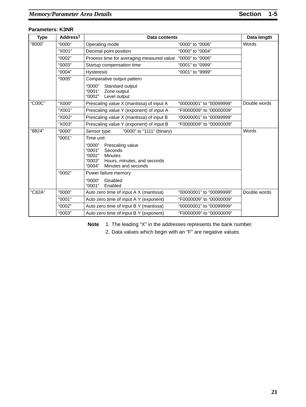#### **Parameters: K3NR**

| <b>Type</b> | Address <sup>1</sup> | Data contents                                                                                                                                         |                          | Data length  |
|-------------|----------------------|-------------------------------------------------------------------------------------------------------------------------------------------------------|--------------------------|--------------|
| "8000"      | "0000"               | Operating mode                                                                                                                                        | "0000" to "0006"         | Words        |
|             | "X001"               | Decimal point position                                                                                                                                | "0000" to "0004"         |              |
|             | "0002"               | Process time for averaging measured value                                                                                                             | "0000" to "0006"         |              |
|             | "0003"               | Startup compensation time                                                                                                                             | "0001" to "0999"         |              |
|             | "0004"               | <b>Hysteresis</b>                                                                                                                                     | "0001" to "9999"         |              |
|             | "0005"               | Comparative output pattern                                                                                                                            |                          |              |
|             |                      | "0000"<br>Standard output<br>"0001"<br>Zone output<br>"0002"<br>Level output                                                                          |                          |              |
| "C00C"      | "X000"               | Prescaling value X (mantissa) of input A                                                                                                              | "00000001" to "00099999" | Double words |
|             | "X001"               | Prescaling value Y (exponent) of input A                                                                                                              | "F0000009" to "00000009" |              |
|             | "X002"               | Prescaling value X (mantissa) of input B                                                                                                              | "00000001" to "00099999" |              |
|             | "X003"               | Prescaling value Y (exponent) of input B                                                                                                              | "F0000009" to "00000009" |              |
| "8824"      | "0000"               | "0000" to "1111" (binary)<br>Sensor type                                                                                                              |                          | Words        |
|             | "0001"               | Time unit                                                                                                                                             |                          |              |
|             |                      | "0000"<br>Prescaling value<br>"0001"<br>Seconds<br>"0002"<br><b>Minutes</b><br>"0003"<br>Hours, minutes, and seconds<br>"0004"<br>Minutes and seconds |                          |              |
|             | "0002"               | Power failure memory                                                                                                                                  |                          |              |
|             |                      | "0000"<br><b>Disabled</b><br>"0001"<br>Enabled                                                                                                        |                          |              |
| "C82A"      | "0000"               | Auto zero time of input A X (mantissa)                                                                                                                | "00000001" to "00099999" | Double words |
|             | "0001"               | Auto zero time of input A Y (exponent)                                                                                                                | "F0000009" to "00000009" |              |
|             | "0002"               | Auto zero time of input B Y (mantissa)                                                                                                                | "00000001" to "00099999" |              |
|             | "0003"               | Auto zero time of input B Y (exponent)                                                                                                                | "F0000009" to "00000009" |              |

**Note** 1. The leading "X" in the addresses represents the bank number.

2. Data values which begin with an "F" are negative values.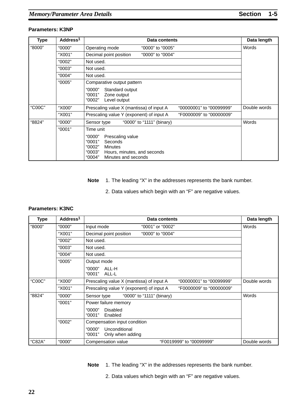#### **Parameters: K3NP**

| <b>Type</b> | Address <sup>1</sup> | Data contents                                                                                                                                         | Data length  |
|-------------|----------------------|-------------------------------------------------------------------------------------------------------------------------------------------------------|--------------|
| "8000"      | "0000"               | Operating mode<br>"0000" to "0005"                                                                                                                    | Words        |
|             | "X001"               | Decimal point position<br>"0000" to "0004"                                                                                                            |              |
|             | "0002"               | Not used.                                                                                                                                             |              |
|             | "0003"               | Not used.                                                                                                                                             |              |
|             | "0004"               | Not used.                                                                                                                                             |              |
|             | "0005"               | Comparative output pattern                                                                                                                            |              |
|             |                      | "0000"<br>Standard output<br>"0001"<br>Zone output<br>"0002"<br>Level output                                                                          |              |
| "C00C"      | "X000"               | Prescaling value X (mantissa) of input A<br>"00000001" to "00099999"                                                                                  | Double words |
|             | "X001"               | Prescaling value Y (exponent) of input A<br>"F0000009" to "00000009"                                                                                  |              |
| "8824"      | "0000"               | "0000" to "1111" (binary)<br>Sensor type                                                                                                              | Words        |
|             | "0001"               | Time unit                                                                                                                                             |              |
|             |                      | "0000"<br>Prescaling value<br>Seconds<br>"0001"<br>"0002"<br><b>Minutes</b><br>"0003"<br>Hours, minutes, and seconds<br>"0004"<br>Minutes and seconds |              |

**Note** 1. The leading "X" in the addresses represents the bank number.

2. Data values which begin with an "F" are negative values.

#### **Parameters: K3NC**

| <b>Type</b> | Address <sup>1</sup> | Data contents                                                        | Data length  |
|-------------|----------------------|----------------------------------------------------------------------|--------------|
| "8000"      | "0000"               | Input mode<br>"0001" or "0002"                                       | Words        |
|             | "X001"               | Decimal point position<br>"0000" to "0004"                           |              |
|             | "0002"               | Not used.                                                            |              |
|             | "0003"               | Not used.                                                            |              |
|             | "0004"               | Not used.                                                            |              |
|             | "0005"               | Output mode                                                          |              |
|             |                      | ALL-H<br>"0000"<br>ALL-L<br>"0001"                                   |              |
| "C00C"      | "X000"               | Prescaling value X (mantissa) of input A<br>"00000001" to "00099999" | Double words |
|             | "X001"               | Prescaling value Y (exponent) of input A<br>"F0000009" to "00000009" |              |
| "8824"      | "0000"               | "0000" to "1111" (binary)<br>Sensor type                             | Words        |
|             | "0001"               | Power failure memory                                                 |              |
|             |                      | "0000"<br><b>Disabled</b><br>"0001"<br>Enabled                       |              |
|             | "0002"               | Compensation input condition                                         |              |
|             |                      | "0000"<br>Unconditional<br>"0001"<br>Only when adding                |              |
| "C82A"      | "0000"               | Compensation value<br>"F0019999" to "00099999"                       | Double words |

**Note** 1. The leading "X" in the addresses represents the bank number.

2. Data values which begin with an "F" are negative values.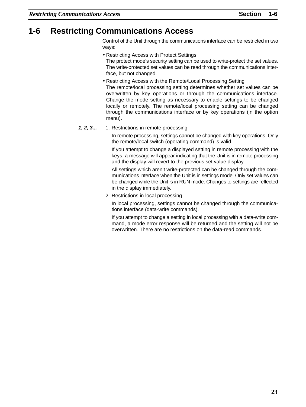# **1-6 Restricting Communications Access**

Control of the Unit through the communications interface can be restricted in two ways:

• Restricting Access with Protect Settings

The protect mode's security setting can be used to write-protect the set values. The write-protected set values can be read through the communications interface, but not changed.

- Restricting Access with the Remote/Local Processing Setting The remote/local processing setting determines whether set values can be overwritten by key operations or through the communications interface. Change the mode setting as necessary to enable settings to be changed locally or remotely. The remote/local processing setting can be changed through the communications interface or by key operations (in the option menu).
- **1, 2, 3...** 1. Restrictions in remote processing

In remote processing, settings cannot be changed with key operations. Only the remote/local switch (operating command) is valid.

If you attempt to change a displayed setting in remote processing with the keys, a message will appear indicating that the Unit is in remote processing and the display will revert to the previous set value display.

All settings which aren't write-protected can be changed through the communications interface when the Unit is in settings mode. Only set values can be changed while the Unit is in RUN mode. Changes to settings are reflected in the display immediately.

2. Restrictions in local processing

In local processing, settings cannot be changed through the communications interface (data-write commands).

If you attempt to change a setting in local processing with a data-write command, a mode error response will be returned and the setting will not be overwritten. There are no restrictions on the data-read commands.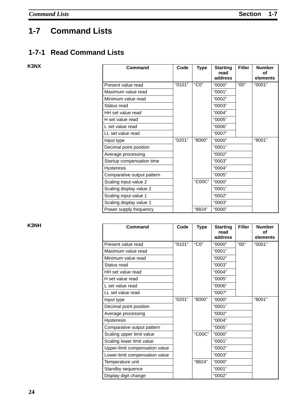# **1-7 Command Lists**

## **1-7-1 Read Command Lists**

**K3NX**

| Command                    | Code   | <b>Type</b> | <b>Starting</b><br>read<br>address | <b>Filler</b> | <b>Number</b><br>οf<br>elements |
|----------------------------|--------|-------------|------------------------------------|---------------|---------------------------------|
| Present value read         | "0101" | "C0"        | "0000"                             | "00"          | "0001"                          |
| Maximum value read         |        |             | "0001"                             |               |                                 |
| Minimum value read         |        |             | "0002"                             |               |                                 |
| Status read                |        |             | "0003"                             |               |                                 |
| HH set value read          |        |             | "0004"                             |               |                                 |
| H set value read           |        |             | "0005"                             |               |                                 |
| L set value read           |        |             | "0006"                             |               |                                 |
| LL set value read          |        |             | "0007"                             |               |                                 |
| Input type                 | "0201" | "8000"      | "0000"                             |               | "8001"                          |
| Decimal point position     |        |             | "0001"                             |               |                                 |
| Average processing         |        |             | "0002"                             |               |                                 |
| Startup compensation time  |        |             | "0003"                             |               |                                 |
| <b>Hysteresis</b>          |        |             | "0004"                             |               |                                 |
| Comparative output pattern |        |             | "0005"                             |               |                                 |
| Scaling input value 2      |        | "C00C"      | "0000"                             |               |                                 |
| Scaling display value 2    |        |             | "0001"                             |               |                                 |
| Scaling input value 1      |        |             | "0002"                             |               |                                 |
| Scaling display value 1    |        |             | "0003"                             |               |                                 |
| Power supply frequency     |        | "8824"      | "0000"                             |               |                                 |

**K3NH**

| Command                        | Code   | Type   | <b>Starting</b><br>read<br>address | <b>Filler</b> | <b>Number</b><br>of<br>elements |
|--------------------------------|--------|--------|------------------------------------|---------------|---------------------------------|
| Present value read             | "0101" | "C0"   | "0000"                             | "00"          | "0001"                          |
| Maximum value read             |        |        | "0001"                             |               |                                 |
| Minimum value read             |        |        | "0002"                             |               |                                 |
| Status read                    |        |        | "0003"                             |               |                                 |
| HH set value read              |        |        | "0004"                             |               |                                 |
| H set value read               |        |        | "0005"                             |               |                                 |
| L set value read               |        |        | "0006"                             |               |                                 |
| LL set value read              |        |        | "0007"                             |               |                                 |
| Input type                     | "0201" | "8000" | "0000"                             |               | "8001"                          |
| Decimal point position         |        |        | "0001"                             |               |                                 |
| Average processing             |        |        | "0002"                             |               |                                 |
| <b>Hysteresis</b>              |        |        | "0004"                             |               |                                 |
| Comparative output pattern     |        |        | "0005"                             |               |                                 |
| Scaling upper limit value      |        | "C00C" | "0000"                             |               |                                 |
| Scaling lower limit value      |        |        | "0001"                             |               |                                 |
| Upper-limit compensation value |        |        | "0002"                             |               |                                 |
| Lower-limit compensation value |        |        | "0003"                             |               |                                 |
| Temperature unit               |        | "8824" | "0000"                             |               |                                 |
| Standby sequence               |        |        | "0001"                             |               |                                 |
| Display digit change           |        |        | "0002"                             |               |                                 |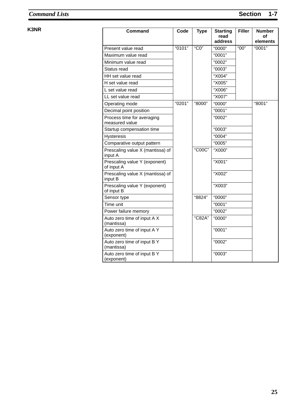### **K3NR**

| Command                                      | Code   | <b>Type</b> | <b>Starting</b><br>read | <b>Filler</b> | <b>Number</b><br>οf |
|----------------------------------------------|--------|-------------|-------------------------|---------------|---------------------|
|                                              |        |             | address                 |               | elements            |
| Present value read                           | "0101" | "C0"        | "0000"                  | "00"          | "0001"              |
| Maximum value read                           |        |             | "0001"                  |               |                     |
| Minimum value read                           |        |             | "0002"                  |               |                     |
| Status read                                  |        |             | "0003"                  |               |                     |
| HH set value read                            |        |             | "X004"                  |               |                     |
| H set value read                             |        |             | "X005"                  |               |                     |
| L set value read                             |        |             | "X006"                  |               |                     |
| LL set value read                            |        |             | "X007"                  |               |                     |
| Operating mode                               | "0201" | "8000"      | "0000"                  |               | "8001"              |
| Decimal point position                       |        |             | "0001"                  |               |                     |
| Process time for averaging<br>measured value |        |             | "0002"                  |               |                     |
| Startup compensation time                    |        |             | "0003"                  |               |                     |
| Hysteresis                                   |        |             | "0004"                  |               |                     |
| Comparative output pattern                   |        |             | "0005"                  |               |                     |
| Prescaling value X (mantissa) of<br>input A  |        | "C00C"      | "X000"                  |               |                     |
| Prescaling value Y (exponent)<br>of input A  |        |             | "X001"                  |               |                     |
| Prescaling value X (mantissa) of<br>input B  |        |             | "X002"                  |               |                     |
| Prescaling value Y (exponent)<br>of input B  |        |             | "X003"                  |               |                     |
| Sensor type                                  |        | "8824"      | "0000"                  |               |                     |
| Time unit                                    |        |             | "0001"                  |               |                     |
| Power failure memory                         |        |             | "0002"                  |               |                     |
| Auto zero time of input A X<br>(mantissa)    |        | "C82A"      | "0000"                  |               |                     |
| Auto zero time of input A Y<br>(exponent)    |        |             | "0001"                  |               |                     |
| Auto zero time of input B Y<br>(mantissa)    |        |             | "0002"                  |               |                     |
| Auto zero time of input B Y<br>(exponent)    |        |             | "0003"                  |               |                     |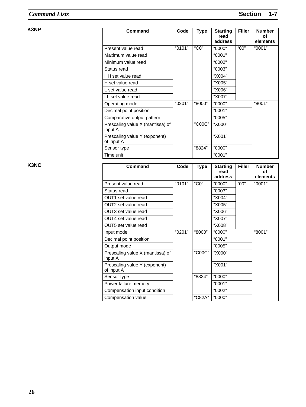#### **K3NP**

| Command                                     | Code   | <b>Type</b> | <b>Starting</b><br>read<br>address | <b>Filler</b> | <b>Number</b><br>of<br>elements |
|---------------------------------------------|--------|-------------|------------------------------------|---------------|---------------------------------|
| Present value read                          | "0101" | "C0"        | "0000"                             | "00"          | "0001"                          |
| Maximum value read                          |        |             | "0001"                             |               |                                 |
| Minimum value read                          |        |             | "0002"                             |               |                                 |
| Status read                                 |        |             | "0003"                             |               |                                 |
| HH set value read                           |        |             | "X004"                             |               |                                 |
| H set value read                            |        |             | "X005"                             |               |                                 |
| L set value read                            |        |             | "X006"                             |               |                                 |
| LL set value read                           |        |             | "X007"                             |               |                                 |
| Operating mode                              | "0201" | "8000"      | "0000"                             |               | "8001"                          |
| Decimal point position                      |        |             | "0001"                             |               |                                 |
| Comparative output pattern                  |        |             | "0005"                             |               |                                 |
| Prescaling value X (mantissa) of<br>input A |        | "C00C"      | "X000"                             |               |                                 |
| Prescaling value Y (exponent)<br>of input A |        |             | "X001"                             |               |                                 |
| Sensor type                                 |        | "8824"      | "0000"                             |               |                                 |
| Time unit                                   |        |             | "0001"                             |               |                                 |

### **K3NC**

| Command                                     | Code   | <b>Type</b> | <b>Starting</b><br>read<br>address | <b>Filler</b> | <b>Number</b><br>οf<br>elements |
|---------------------------------------------|--------|-------------|------------------------------------|---------------|---------------------------------|
| Present value read                          | "0101" | "C0"        | "0000"                             | "00"          | "0001"                          |
| Status read                                 |        |             | "0003"                             |               |                                 |
| OUT1 set value read                         |        |             | "X004"                             |               |                                 |
| OUT2 set value read                         |        |             | "X005"                             |               |                                 |
| OUT3 set value read                         |        |             | "X006"                             |               |                                 |
| OUT4 set value read                         |        |             | "X007"                             |               |                                 |
| OUT5 set value read                         |        |             | "X008"                             |               |                                 |
| Input mode                                  | "0201" | "8000"      | "0000"                             |               | "8001"                          |
| Decimal point position                      |        |             | "0001"                             |               |                                 |
| Output mode                                 |        |             | "0005"                             |               |                                 |
| Prescaling value X (mantissa) of<br>input A |        | "C00C"      | "X000"                             |               |                                 |
| Prescaling value Y (exponent)<br>of input A |        |             | "X001"                             |               |                                 |
| Sensor type                                 |        | "8824"      | "0000"                             |               |                                 |
| Power failure memory                        |        |             | "0001"                             |               |                                 |
| Compensation input condition                |        |             | "0002"                             |               |                                 |
| Compensation value                          |        | "C82A"      | "0000"                             |               |                                 |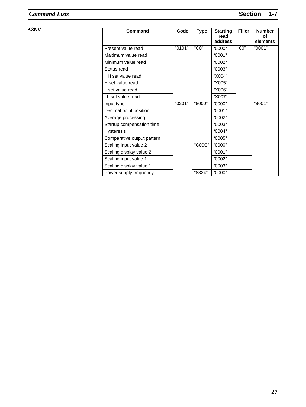### **K3NV**

| Command                    | Code   | <b>Type</b> | <b>Starting</b><br>read<br>address | <b>Filler</b> | <b>Number</b><br>of<br>elements |
|----------------------------|--------|-------------|------------------------------------|---------------|---------------------------------|
| Present value read         | "0101" | "C0"        | "0000"                             | "00"          | "0001"                          |
| Maximum value read         |        |             | "0001"                             |               |                                 |
| Minimum value read         |        |             | "0002"                             |               |                                 |
| Status read                |        |             | "0003"                             |               |                                 |
| HH set value read          |        |             | "X004"                             |               |                                 |
| H set value read           |        |             | "X005"                             |               |                                 |
| L set value read           |        |             | "X006"                             |               |                                 |
| LL set value read          |        |             | "X007"                             |               |                                 |
| Input type                 | "0201" | "8000"      | "0000"                             |               | "8001"                          |
| Decimal point position     |        |             | "0001"                             |               |                                 |
| Average processing         |        |             | "0002"                             |               |                                 |
| Startup compensation time  |        |             | "0003"                             |               |                                 |
| <b>Hysteresis</b>          |        |             | "0004"                             |               |                                 |
| Comparative output pattern |        |             | "0005"                             |               |                                 |
| Scaling input value 2      |        | "C00C"      | "0000"                             |               |                                 |
| Scaling display value 2    |        |             | "0001"                             |               |                                 |
| Scaling input value 1      |        |             | "0002"                             |               |                                 |
| Scaling display value 1    |        |             | "0003"                             |               |                                 |
| Power supply frequency     |        | "8824"      | "0000"                             |               |                                 |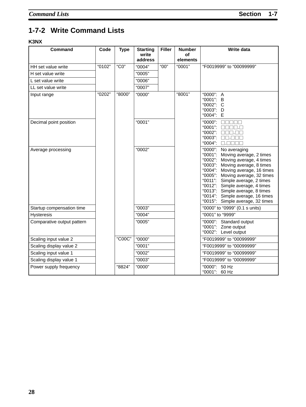# **1-7-2 Write Command Lists**

### **K3NX**

| Command                    | Code   | <b>Type</b> | <b>Starting</b><br>write | <b>Filler</b> | <b>Number</b><br>of | <b>Write data</b>                                                                                                                                                                                                                                                                                                                                                                      |
|----------------------------|--------|-------------|--------------------------|---------------|---------------------|----------------------------------------------------------------------------------------------------------------------------------------------------------------------------------------------------------------------------------------------------------------------------------------------------------------------------------------------------------------------------------------|
|                            |        |             | address                  |               | elements            |                                                                                                                                                                                                                                                                                                                                                                                        |
| HH set value write         | "0102" | "C0"        | "0004"                   | "00"          | "0001"              | "F0019999" to "00099999"                                                                                                                                                                                                                                                                                                                                                               |
| H set value write          |        |             | "0005"                   |               |                     |                                                                                                                                                                                                                                                                                                                                                                                        |
| L set value write          |        |             | "0006"                   |               |                     |                                                                                                                                                                                                                                                                                                                                                                                        |
| LL set value write         |        |             | "0007"                   |               |                     |                                                                                                                                                                                                                                                                                                                                                                                        |
| Input range                | "0202" | "8000"      | "0000"                   |               | "8001"              | "0000": A<br>"0001": B<br>"0002": C<br>"0003":<br>D<br>"0004": E                                                                                                                                                                                                                                                                                                                       |
| Decimal point position     |        |             | "0001"                   |               |                     | "0000":<br>"0001":<br>"0002":<br>"0003":<br>"0004".                                                                                                                                                                                                                                                                                                                                    |
| Average processing         |        |             | "0002"                   |               |                     | "0000": No averaging<br>"0001": Moving average, 2 times<br>"0002": Moving average, 4 times<br>"0003": Moving average, 8 times<br>"0004": Moving average, 16 times<br>"0005": Moving average, 32 times<br>"0011": Simple average, 2 times<br>"0012": Simple average, 4 times<br>"0013": Simple average, 8 times<br>"0014": Simple average, 16 times<br>"0015": Simple average, 32 times |
| Startup compensation time  |        |             | "0003"                   |               |                     | "0000" to "0999" (0.1 s units)                                                                                                                                                                                                                                                                                                                                                         |
| Hysteresis                 |        |             | "0004"                   |               |                     | "0001" to "9999"                                                                                                                                                                                                                                                                                                                                                                       |
| Comparative output pattern |        |             | "0005"                   |               |                     | "0000": Standard output<br>"0001": Zone output<br>"0002": Level output                                                                                                                                                                                                                                                                                                                 |
| Scaling input value 2      |        | "C00C"      | "0000"                   |               |                     | "F0019999" to "00099999"                                                                                                                                                                                                                                                                                                                                                               |
| Scaling display value 2    |        |             | "0001"                   |               |                     | "F0019999" to "00099999"                                                                                                                                                                                                                                                                                                                                                               |
| Scaling input value 1      |        |             | "0002"                   |               |                     | "F0019999" to "00099999"                                                                                                                                                                                                                                                                                                                                                               |
| Scaling display value 1    |        |             | "0003"                   |               |                     | "F0019999" to "00099999"                                                                                                                                                                                                                                                                                                                                                               |
| Power supply frequency     |        | "8824"      | "0000"                   |               |                     | "0000": 50 Hz<br>"0001": 60 Hz                                                                                                                                                                                                                                                                                                                                                         |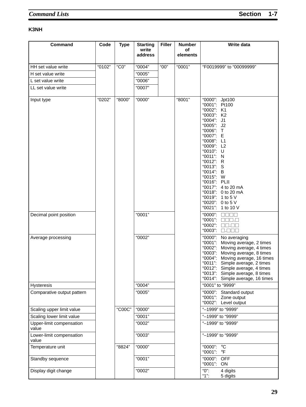### **K3NH**

| Command                           | Code   | <b>Type</b> | <b>Starting</b><br>write | <b>Filler</b>   | <b>Number</b><br>of | Write data                                                                                                                                                                                                                                                                                                                                                 |
|-----------------------------------|--------|-------------|--------------------------|-----------------|---------------------|------------------------------------------------------------------------------------------------------------------------------------------------------------------------------------------------------------------------------------------------------------------------------------------------------------------------------------------------------------|
|                                   |        |             | address                  |                 | elements            |                                                                                                                                                                                                                                                                                                                                                            |
| HH set value write                | "0102" | "C0"        | "0004"                   | $\overline{00}$ | "0001"              | "F0019999" to "00099999"                                                                                                                                                                                                                                                                                                                                   |
| H set value write                 |        |             | "0005"                   |                 |                     |                                                                                                                                                                                                                                                                                                                                                            |
| L set value write                 |        |             | "0006"                   |                 |                     |                                                                                                                                                                                                                                                                                                                                                            |
| LL set value write                |        |             | "0007"                   |                 |                     |                                                                                                                                                                                                                                                                                                                                                            |
|                                   |        |             |                          |                 |                     |                                                                                                                                                                                                                                                                                                                                                            |
| Input type                        | "0202" | "8000"      | "0000"                   |                 | "8001"              | "0000": Jpt100<br>"0001": Pt100<br>"0002": K1<br>"0003": K2<br>"0004": J1<br>"0005": J2<br>"0006":<br>Τ<br>"0007": E<br>"0008": L1<br>"0009": L2<br>"0010": U<br>"0011": N<br>"0012": R<br>"0013": S<br>"0014": B<br>"0015": W<br>"0016": PLII<br>"0017": 4 to 20 mA<br>"0018": 0 to 20 mA<br>"0019": 1 to 5 V<br>"0020": 0 to 5 V<br>"0021":<br>1 to 10 V |
| Decimal point position            |        |             | "0001"                   |                 |                     | "0000":<br>"0001":<br>"0002":<br>"0003":<br>M.NNH                                                                                                                                                                                                                                                                                                          |
| Average processing                |        |             | "0002"                   |                 |                     | "0000": No averaging<br>"0001": Moving average, 2 times<br>"0002":<br>Moving average, 4 times<br>"0003": Moving average, 8 times<br>"0004": Moving average, 16 times<br>"0011":<br>Simple average, 2 times<br>"0012": Simple average, 4 times<br>"0013": Simple average, 8 times<br>"0014": Simple average, 16 times                                       |
| <b>Hysteresis</b>                 |        |             | "0004"                   |                 |                     | "0001" to "9999"                                                                                                                                                                                                                                                                                                                                           |
| Comparative output pattern        |        |             | "0005"                   |                 |                     | "0000": Standard output<br>"0001": Zone output<br>"0002": Level output                                                                                                                                                                                                                                                                                     |
| Scaling upper limit value         |        | "C00C"      | "0000"                   |                 |                     | "-1999" to "9999"                                                                                                                                                                                                                                                                                                                                          |
| Scaling lower limit value         |        |             | "0001"                   |                 |                     | "-1999" to "9999"                                                                                                                                                                                                                                                                                                                                          |
| Upper-limit compensation<br>value |        |             | "0002"                   |                 |                     | "-1999" to "9999"                                                                                                                                                                                                                                                                                                                                          |
| Lower-limit compensation<br>value |        |             | "0003"                   |                 |                     | "-1999" to "9999"                                                                                                                                                                                                                                                                                                                                          |
| Temperature unit                  |        | "8824"      | "0000"                   |                 |                     | "0000": °C<br>"0001": °F                                                                                                                                                                                                                                                                                                                                   |
| Standby sequence                  |        |             | "0001"                   |                 |                     | "0000": OFF<br>"0001": ON                                                                                                                                                                                                                                                                                                                                  |
| Display digit change              |        |             | "0002"                   |                 |                     | "0":<br>4 digits<br>" $1$ ":<br>5 digits                                                                                                                                                                                                                                                                                                                   |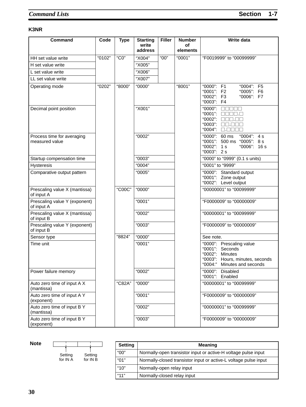### **Command Lists Section 1-7**

#### **K3NR**

| Command                                      | Code   | <b>Type</b> | <b>Starting</b><br>write | <b>Filler</b> | <b>Number</b>  | Write data                                                                                                                                       |  |
|----------------------------------------------|--------|-------------|--------------------------|---------------|----------------|--------------------------------------------------------------------------------------------------------------------------------------------------|--|
|                                              |        |             | address                  |               | οf<br>elements |                                                                                                                                                  |  |
| HH set value write                           | "0102" | "CO"        | "X004"                   | $-00"$        | "0001"         | "F0019999" to "00099999"                                                                                                                         |  |
| H set value write                            |        |             | "X005"                   |               |                |                                                                                                                                                  |  |
| L set value write                            |        |             | "X006"                   |               |                |                                                                                                                                                  |  |
| LL set value write                           |        |             | "X007"                   |               |                |                                                                                                                                                  |  |
| Operating mode                               | "0202" | "8000"      | "0000"                   |               | "8001"         | "0000": F1<br>"0004":<br>F <sub>5</sub><br>"0001": F2<br>"0005":<br>F <sub>6</sub><br>"0002":<br>"0006": F7<br>F <sub>3</sub><br>"0003": F4      |  |
| Decimal point position                       |        |             | "X001"                   |               |                | "0000":<br>"0001":<br>"0002":<br>"0003":<br>"0004":                                                                                              |  |
| Process time for averaging<br>measured value |        |             | "0002"                   |               |                | "0004":<br>"0000":<br>60 ms<br>4s<br>$"0001"$ :<br>500 ms<br>" $0005$ ": 8 s<br>"0002":<br>"0006": 16 s<br>1 <sub>s</sub><br>"0003": 2 s         |  |
| Startup compensation time                    |        |             | "0003"                   |               |                | "0000" to "0999" (0.1 s units)                                                                                                                   |  |
| <b>Hysteresis</b>                            |        |             | "0004"                   |               |                | "0001" to "9999"                                                                                                                                 |  |
| Comparative output pattern                   |        |             | "0005"                   |               |                | "0000": Standard output<br>"0001": Zone output<br>"0002": Level output                                                                           |  |
| Prescaling value X (mantissa)<br>of input A  |        | "C00C"      | "0000"                   |               |                | "00000001" to "00099999"                                                                                                                         |  |
| Prescaling value Y (exponent)<br>of input A  |        |             | "0001"                   |               |                | "F0000009" to "00000009"                                                                                                                         |  |
| Prescaling value X (mantissa)<br>of input B  |        |             | "0002"                   |               |                | "00000001" to "00099999"                                                                                                                         |  |
| Prescaling value Y (exponent)<br>of input B  |        |             | "0003"                   |               |                | "F0000009" to "00000009"                                                                                                                         |  |
| Sensor type                                  |        | "8824"      | "0000"                   |               |                | See note.                                                                                                                                        |  |
| Time unit                                    |        |             | "0001"                   |               |                | "0000": Prescaling value<br>"0001":<br>Seconds<br>"0002":<br><b>Minutes</b><br>"0003": Hours, minutes, seconds<br>"0004:"<br>Minutes and seconds |  |
| Power failure memory                         |        |             | "0002"                   |               |                | "0000": Disabled<br>"0001": Enabled                                                                                                              |  |
| Auto zero time of input A X<br>(mantissa)    |        | "C82A"      | "0000"                   |               |                | "00000001" to "00099999"                                                                                                                         |  |
| Auto zero time of input A Y<br>(exponent)    |        |             | "0001"                   |               |                | "F0000009" to "00000009"                                                                                                                         |  |
| Auto zero time of input B Y<br>(mantissa)    |        |             | "0002"                   |               |                | "00000001" to "00099999"                                                                                                                         |  |
| Auto zero time of input B Y<br>(exponent)    |        |             | "0003"                   |               |                | "F0000009" to "00000009"                                                                                                                         |  |





| <b>Setting</b> | <b>Meaning</b>                                                   |
|----------------|------------------------------------------------------------------|
| "00"           | Normally-open transistor input or active-H voltage pulse input   |
| "01"           | Normally-closed transistor input or active-L voltage pulse input |
| "10"           | Normally-open relay input                                        |
| "11"           | Normally-closed relay input                                      |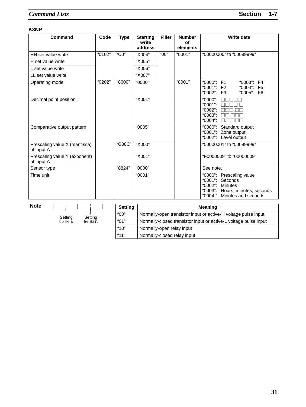### **K3NP**

| Command                                     | Code   | <b>Type</b>    | <b>Starting</b><br>write<br>address | <b>Filler</b> | <b>Number</b><br>of<br>elements | <b>Write data</b>                                                                                                                                      |
|---------------------------------------------|--------|----------------|-------------------------------------|---------------|---------------------------------|--------------------------------------------------------------------------------------------------------------------------------------------------------|
| HH set value write                          | "0102" | "C0"           | "X004"                              | "00"          | "0001"                          | "00000000" to "00099999"                                                                                                                               |
| H set value write                           |        |                | "X005"                              |               |                                 |                                                                                                                                                        |
| L set value write                           |        |                | "X006"                              |               |                                 |                                                                                                                                                        |
| LL set value write                          |        |                | "X007"                              |               |                                 |                                                                                                                                                        |
| Operating mode                              | "0202" | "8000"         | "0000"                              |               | "8001"                          | "0000": F1<br>"0003":<br>F4<br>"0001": F2<br>"0004":<br>F <sub>5</sub><br>"0002": F3<br>"0005":<br>F <sub>6</sub>                                      |
| Decimal point position                      |        |                | "X001"                              |               |                                 | "0000":<br>"0001":<br>"0002":<br>"0003":<br>"0004":                                                                                                    |
| Comparative output pattern                  |        |                | "0005"                              |               |                                 | "0000": Standard output<br>"0001":<br>Zone output<br>"0002": Level output                                                                              |
| Prescaling value X (mantissa)<br>of input A |        | "C00C"         | "X000"                              |               |                                 | "00000001" to "00099999"                                                                                                                               |
| Prescaling value Y (exponent)<br>of input A |        |                | "X001"                              |               |                                 | "F0000009" to "00000009"                                                                                                                               |
| Sensor type                                 |        | "8824"         | "0000"                              |               |                                 | See note.                                                                                                                                              |
| Time unit                                   |        |                | "0001"                              |               |                                 | "0000": Prescaling value<br>$"0001"$ :<br>Seconds<br>"0002":<br><b>Minutes</b><br>"0003":<br>Hours, minutes, seconds<br>"0004:"<br>Minutes and seconds |
| <b>Note</b>                                 |        | <b>Setting</b> |                                     |               |                                 | <b>Meaning</b>                                                                                                                                         |

Setting for IN B Setting for IN A

| <b>Setting</b> | <b>Meaning</b>                                                   |
|----------------|------------------------------------------------------------------|
| "00"           | Normally-open transistor input or active-H voltage pulse input   |
| "01"           | Normally-closed transistor input or active-L voltage pulse input |
| "10"           | Normally-open relay input                                        |
| "11"           | Normally-closed relay input                                      |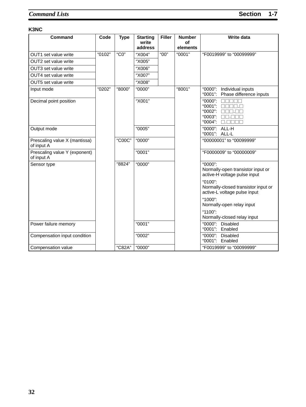### **K3NC**

| Command                                     | Code   | <b>Type</b> | <b>Starting</b><br>write | <b>Filler</b> | <b>Number</b><br>οf | <b>Write data</b>                                                                                                                                                         |
|---------------------------------------------|--------|-------------|--------------------------|---------------|---------------------|---------------------------------------------------------------------------------------------------------------------------------------------------------------------------|
|                                             |        |             | address                  |               | elements            |                                                                                                                                                                           |
| OUT1 set value write                        | "0102" | "C0"        | "X004"                   | "00"          | "0001"              | "F0019999" to "00099999"                                                                                                                                                  |
| OUT2 set value write                        |        |             | "X005"                   |               |                     |                                                                                                                                                                           |
| OUT3 set value write                        |        |             | "X006"                   |               |                     |                                                                                                                                                                           |
| OUT4 set value write                        |        |             | "X007"                   |               |                     |                                                                                                                                                                           |
| <b>OUT5</b> set value write                 |        |             | "X008"                   |               |                     |                                                                                                                                                                           |
| Input mode                                  | "0202" | "8000"      | "0000"                   |               | "8001"              | "0000":<br>Individual inputs<br>Phase difference inputs<br>"0001":                                                                                                        |
| Decimal point position                      |        |             | "X001"                   |               |                     | "0000":<br>"0001":<br>"0002":<br>"0003":<br>"0004":<br>$\Box . \Box \Box$                                                                                                 |
| Output mode                                 |        |             | "0005"                   |               |                     | "0000": ALL-H<br>"0001": ALL-L                                                                                                                                            |
| Prescaling value X (mantissa)<br>of input A |        | "C00C"      | "0000"                   |               |                     | "00000001" to "00099999"                                                                                                                                                  |
| Prescaling value Y (exponent)<br>of input A |        |             | "0001"                   |               |                     | "F0000009" to "00000009"                                                                                                                                                  |
| Sensor type                                 |        | "8824"      | "0000"                   |               |                     | "0000":<br>Normally-open transistor input or<br>active-H voltage pulse input<br>"0100":<br>Normally-closed transistor input or<br>active-L voltage pulse input<br>"1000": |
|                                             |        |             |                          |               |                     | Normally-open relay input<br>"1100":<br>Normally-closed relay input                                                                                                       |
| Power failure memory                        |        |             | "0001"                   |               |                     | "0000": Disabled<br>"0001": Enabled                                                                                                                                       |
| Compensation input condition                |        |             | "0002"                   |               |                     | "0000":<br><b>Disabled</b><br>"0001": Enabled                                                                                                                             |
| Compensation value                          |        | "C82A"      | "0000"                   |               |                     | "F0019999" to "00099999"                                                                                                                                                  |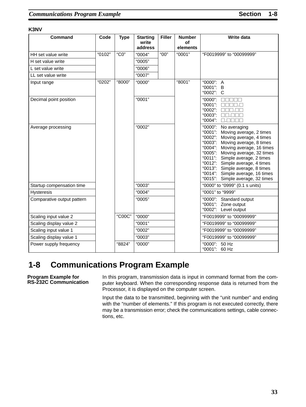#### **K3NV**

| Command                    | Code   | <b>Type</b> | <b>Starting</b><br>write | <b>Filler</b> | <b>Number</b><br>of | <b>Write data</b>                                                                                                                                                                                                                                                                                                                                                                      |
|----------------------------|--------|-------------|--------------------------|---------------|---------------------|----------------------------------------------------------------------------------------------------------------------------------------------------------------------------------------------------------------------------------------------------------------------------------------------------------------------------------------------------------------------------------------|
|                            |        |             | address                  |               | elements            |                                                                                                                                                                                                                                                                                                                                                                                        |
| HH set value write         | "0102" | " $CO"$     | "0004"                   | "00"          | "0001"              | "F0019999" to "00099999"                                                                                                                                                                                                                                                                                                                                                               |
| H set value write          |        |             | "0005"                   |               |                     |                                                                                                                                                                                                                                                                                                                                                                                        |
| L set value write          |        |             | "0006"                   |               |                     |                                                                                                                                                                                                                                                                                                                                                                                        |
| LL set value write         |        |             | "0007"                   |               |                     |                                                                                                                                                                                                                                                                                                                                                                                        |
| Input range                | "0202" | "8000"      | "0000"                   |               | "8001"              | "0000": A<br>"0001": B<br>"0002": C                                                                                                                                                                                                                                                                                                                                                    |
| Decimal point position     |        |             | "0001"                   |               |                     | "0000":<br><b>ELET</b> II<br>"0001":<br>"0002":<br>"0003":<br>"0004":                                                                                                                                                                                                                                                                                                                  |
| Average processing         |        |             | "0002"                   |               |                     | "0000": No averaging<br>"0001": Moving average, 2 times<br>"0002": Moving average, 4 times<br>"0003": Moving average, 8 times<br>"0004": Moving average, 16 times<br>"0005": Moving average, 32 times<br>"0011": Simple average, 2 times<br>"0012": Simple average, 4 times<br>"0013": Simple average, 8 times<br>"0014": Simple average, 16 times<br>"0015": Simple average, 32 times |
| Startup compensation time  |        |             | "0003"                   |               |                     | "0000" to "0999" (0.1 s units)                                                                                                                                                                                                                                                                                                                                                         |
| <b>Hysteresis</b>          |        |             | "0004"                   |               |                     | "0001" to "9999"                                                                                                                                                                                                                                                                                                                                                                       |
| Comparative output pattern |        |             | "0005"                   |               |                     | "0000": Standard output<br>"0001": Zone output<br>"0002": Level output                                                                                                                                                                                                                                                                                                                 |
| Scaling input value 2      |        | "C00C"      | "0000"                   |               |                     | "F0019999" to "00099999"                                                                                                                                                                                                                                                                                                                                                               |
| Scaling display value 2    |        |             | "0001"                   |               |                     | "F0019999" to "00099999"                                                                                                                                                                                                                                                                                                                                                               |
| Scaling input value 1      |        |             | "0002"                   |               |                     | "F0019999" to "00099999"                                                                                                                                                                                                                                                                                                                                                               |
| Scaling display value 1    |        |             | "0003"                   |               |                     | "F0019999" to "00099999"                                                                                                                                                                                                                                                                                                                                                               |
| Power supply frequency     |        | "8824"      | "0000"                   |               |                     | "0000": 50 Hz<br>"0001": 60 Hz                                                                                                                                                                                                                                                                                                                                                         |

# **1-8 Communications Program Example**

**Program Example for RS-232C Communication** In this program, transmission data is input in command format from the computer keyboard. When the corresponding response data is returned from the Processor, it is displayed on the computer screen.

Input the data to be transmitted, beginning with the "unit number" and ending with the "number of elements." If this program is not executed correctly, there may be a transmission error; check the communications settings, cable connections, etc.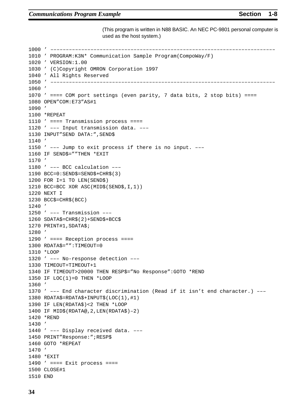(This program is written in N88 BASIC. An NEC PC-9801 personal computer is used as the host system.)

```
1000 ' –––––––––––––––––––––––––––––––––––––––––––––––––––––––––––––––––––––––––
1010 ' PROGRAM:K3N* Communication Sample Program(CompoWay/F)
1020 ' VERSION:1.00
1030 ' (C)Copyright OMRON Corporation 1997
1040 ' All Rights Reserved
1050 ' –––––––––––––––––––––––––––––––––––––––––––––––––––––––––––––––––––––––––
1060 '
1070 ' ==== COM port settings (even parity, 7 data bits, 2 stop bits) ====
1080 OPEN"COM:E73"AS#1
1090 '
1100 *REPEAT
1110 ' ==== Transmission process ====
1120 ' ––– Input transmission data. –––
1130 INPUT"SEND DATA:",SEND$
1140 '
1150 ' ––– Jump to exit process if there is no input. –––
1160 IF SEND$=""THEN *EXIT
1170 '
1180 ' ––– BCC calculation –––
1190 BCC=0:SEND$=SEND$+CHR$(3)
1200 FOR I=1 TO LEN(SEND$)
1210 BCC=BCC XOR ASC(MID$(SEND$,I,1))
1220 NEXT I
1230 BCC$=CHR$(BCC)
1240 '
1250 ' ––– Transmission –––
1260 SDATA$=CHR$(2)+SEND$+BCC$
1270 PRINT#1,SDATA$;
1280 '
1290 ' ==== Reception process ====
1300 RDATA$="":TIMEOUT=0
1310 *LOOP
1320 ' ––– No-response detection –––
1330 TIMEOUT=TIMEOUT+1
1340 IF TIMEOUT>20000 THEN RESP$="No Response":GOTO *REND
1350 IF LOC(1)=0 THEN *LOOP
1360 '
1370 ' ––– End character discrimination (Read if it isn't end character.) –––
1380 RDATA$=RDATA$+INPUT$(LOC(1),#1)
1390 IF LEN(RDATA$)<2 THEN *LOOP
1400 IF MID$(RDATA@,2,LEN(RDATA$)–2)
1420 *REND
1430 '
1440 ' ––– Display received data. –––
1450 PRINT"Response:";RESP$
1460 GOTO *REPEAT
1470 '
1480 *EXIT
1490 ' ==== Exit process ====
1500 CLOSE#1
1510 END
```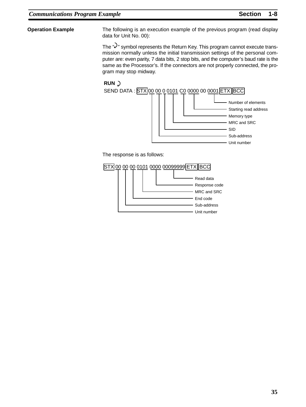#### **Operation Example**

The following is an execution example of the previous program (read display data for Unit No. 00):

The " $\lambda$ " symbol represents the Return Key. This program cannot execute transmission normally unless the initial transmission settings of the personal computer are: even parity, 7 data bits, 2 stop bits, and the computer's baud rate is the same as the Processor's. If the connectors are not properly connected, the program may stop midway.





The response is as follows:

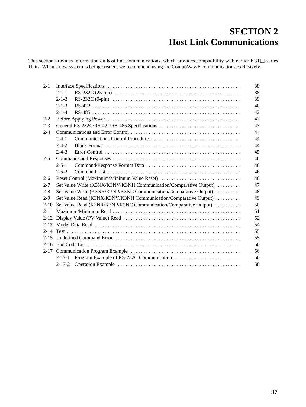# **SECTION 2 Host Link Communications**

This section provides information on host link communications, which provides compatibility with earlier K3T $\Box$ -series Units. When a new system is being created, we recommend using the CompoWay/F communications exclusively.

| $2 - 1$  |             |                                                                   | 38 |  |  |  |
|----------|-------------|-------------------------------------------------------------------|----|--|--|--|
|          | $2 - 1 - 1$ |                                                                   | 38 |  |  |  |
|          | $2 - 1 - 2$ |                                                                   | 39 |  |  |  |
|          | $2 - 1 - 3$ |                                                                   | 40 |  |  |  |
|          | $2 - 1 - 4$ |                                                                   | 42 |  |  |  |
| $2 - 2$  |             |                                                                   | 43 |  |  |  |
| $2 - 3$  |             | General RS-232C/RS-422/RS-485 Specifications                      | 43 |  |  |  |
| $2 - 4$  | 44          |                                                                   |    |  |  |  |
|          | $2 - 4 - 1$ |                                                                   | 44 |  |  |  |
|          | $2 - 4 - 2$ |                                                                   | 44 |  |  |  |
|          | $2 - 4 - 3$ |                                                                   | 45 |  |  |  |
| $2 - 5$  |             |                                                                   | 46 |  |  |  |
|          | $2 - 5 - 1$ |                                                                   | 46 |  |  |  |
|          | $2 - 5 - 2$ |                                                                   | 46 |  |  |  |
| $2 - 6$  |             |                                                                   | 46 |  |  |  |
| $2 - 7$  |             | Set Value Write (K3NX/K3NV/K3NH Communication/Comparative Output) | 47 |  |  |  |
| $2 - 8$  |             | Set Value Write (K3NR/K3NP/K3NC Communication/Comparative Output) | 48 |  |  |  |
| $2 - 9$  |             | Set Value Read (K3NX/K3NV/K3NH Communication/Comparative Output)  | 49 |  |  |  |
| $2 - 10$ |             | Set Value Read (K3NR/K3NP/K3NC Communication/Comparative Output)  | 50 |  |  |  |
| $2 - 11$ |             |                                                                   | 51 |  |  |  |
| $2 - 12$ |             |                                                                   | 52 |  |  |  |
|          |             |                                                                   | 54 |  |  |  |
| $2 - 14$ |             |                                                                   | 55 |  |  |  |
| $2 - 15$ | 55          |                                                                   |    |  |  |  |
|          |             |                                                                   | 56 |  |  |  |
|          |             |                                                                   | 56 |  |  |  |
|          |             | 2-17-1 Program Example of RS-232C Communication                   | 56 |  |  |  |
|          |             |                                                                   | 58 |  |  |  |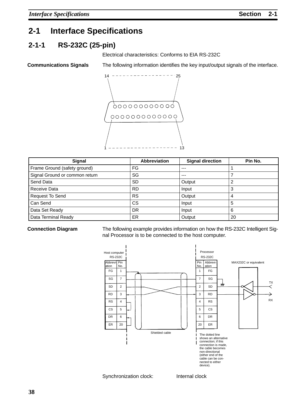# **2-1 Interface Specifications**

# **2-1-1 RS-232C (25-pin)**

Electrical characteristics: Conforms to EIA RS-232C

**Communications Signals**

The following information identifies the key input/output signals of the interface.



| Signal                         | <b>Abbreviation</b> | <b>Signal direction</b> | Pin No. |
|--------------------------------|---------------------|-------------------------|---------|
| Frame Ground (safety ground)   | FG                  | ---                     |         |
| Signal Ground or common return | SG                  | ---                     |         |
| Send Data                      | SD.                 | Output                  | ົ       |
| Receive Data                   | <b>RD</b>           | Input                   | 3       |
| <b>Request To Send</b>         | <b>RS</b>           | Output                  | 4       |
| Can Send                       | <b>CS</b>           | Input                   | 5       |
| Data Set Ready                 | <b>DR</b>           | Input                   | 6       |
| Data Terminal Ready            | ER                  | Output                  | 20      |

#### **Connection Diagram**

The following example provides information on how the RS-232C Intelligent Signal Processor is to be connected to the host computer.



Synchronization clock: Internal clock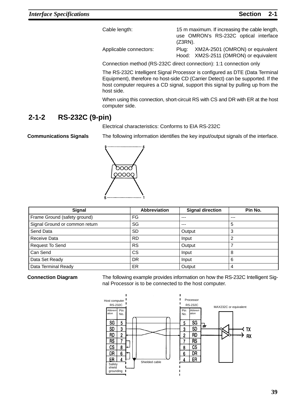Cable length: 15 m maximum. If increasing the cable length, use OMRON's RS-232C optical interface (Z3RN). Applicable connectors: Plug: XM2A-2501 (OMRON) or equivalent Hood: XM2S-2511 (OMRON) or equivalent

Connection method (RS-232C direct connection): 1:1 connection only

The RS-232C Intelligent Signal Processor is configured as DTE (Data Terminal Equipment), therefore no host-side CD (Carrier Detect) can be supported. If the host computer requires a CD signal, support this signal by pulling up from the host side.

When using this connection, short-circuit RS with CS and DR with ER at the host computer side.

### **2-1-2 RS-232C (9-pin)**

Electrical characteristics: Conforms to EIA RS-232C

**Communications Signals**

The following information identifies the key input/output signals of the interface.



| Signal                         | <b>Abbreviation</b> | <b>Signal direction</b> | Pin No. |
|--------------------------------|---------------------|-------------------------|---------|
| Frame Ground (safety ground)   | FG                  | $---$                   | $--$    |
| Signal Ground or common return | SG                  | $---$                   | 5       |
| Send Data                      | <b>SD</b>           | Output                  | 3       |
| Receive Data                   | <b>RD</b>           | Input                   | 2       |
| Request To Send                | <b>RS</b>           | Output                  |         |
| Can Send                       | СS                  | Input                   | 8       |
| Data Set Ready                 | <b>DR</b>           | Input                   | 6       |
| Data Terminal Ready            | ER.                 | Output                  | 4       |

#### **Connection Diagram**

The following example provides information on how the RS-232C Intelligent Signal Processor is to be connected to the host computer.

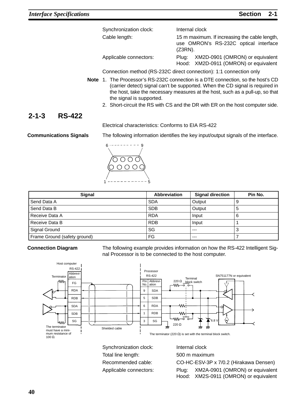Synchronization clock: Internal clock

Cable length: 15 m maximum. If increasing the cable length, use OMRON's RS-232C optical interface (Z3RN).

Applicable connectors: Plug: XM2D-0901 (OMRON) or equivalent Hood: XM2D-0911 (OMRON) or equivalent

Connection method (RS-232C direct connection): 1:1 connection only

- **Note** 1. The Processor's RS-232C connection is a DTE connection, so the host's CD (carrier detect) signal can't be supported. When the CD signal is required in the host, take the necessary measures at the host, such as a pull-up, so that the signal is supported.
	- 2. Short-circuit the RS with CS and the DR with ER on the host computer side.

### **2-1-3 RS-422**

Electrical characteristics: Conforms to EIA RS-422

**Communications Signals**

The following information identifies the key input/output signals of the interface.



| <b>Signal</b>                | <b>Abbreviation</b> | <b>Signal direction</b> | Pin No. |
|------------------------------|---------------------|-------------------------|---------|
| Send Data A                  | <b>SDA</b>          | Output                  | 9       |
| Send Data B                  | <b>SDB</b>          | Output                  | đ       |
| Receive Data A               | <b>RDA</b>          | Input                   | 6       |
| Receive Data B               | <b>RDB</b>          | Input                   |         |
| Signal Ground                | SG                  | $---$                   | د       |
| Frame Ground (safety ground) | FG                  | $---$                   |         |

#### **Connection Diagram**

The following example provides information on how the RS-422 Intelligent Signal Processor is to be connected to the host computer.



Synchronization clock: Internal clock Total line length: 500 m maximum

Recommended cable: CO-HC-ESV-3P x 7/0.2 (Hirakawa Densen) Applicable connectors: Plug: XM2A-0901 (OMRON) or equivalent Hood: XM2S-0911 (OMRON) or equivalent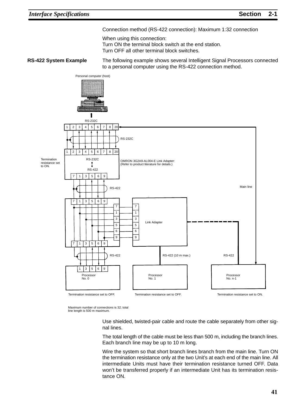Connection method (RS-422 connection): Maximum 1:32 connection

When using this connection:

Turn ON the terminal block switch at the end station.

Turn OFF all other terminal block switches.

#### **RS-422 System Example**

The following example shows several Intelligent Signal Processors connected to a personal computer using the RS-422 connection method.



Maximum number of connections is 32; total line length is 500 m maximum.

> Use shielded, twisted-pair cable and route the cable separately from other signal lines.

> The total length of the cable must be less than 500 m, including the branch lines. Each branch line may be up to 10 m long.

> Wire the system so that short branch lines branch from the main line. Turn ON the termination resistance only at the two Unit's at each end of the main line. All intermediate Units must have their termination resistance turned OFF. Data won't be transferred properly if an intermediate Unit has its termination resistance ON.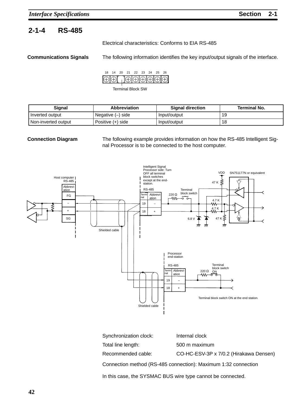### **2-1-4 RS-485**

Electrical characteristics: Conforms to EIA RS-485

**Communications Signals**

The following information identifies the key input/output signals of the interface.



Terminal Block SW

| Sianal              | <b>Abbreviation</b> | <b>Signal direction</b> | Terminal No. |
|---------------------|---------------------|-------------------------|--------------|
| Inverted output     | Negative $(-)$ side | Input/output            | 19           |
| Non-inverted output | Positive $(+)$ side | Input/output            | 18           |

#### **Connection Diagram**

The following example provides information on how the RS-485 Intelligent Signal Processor is to be connected to the host computer.



Synchronization clock: Internal clock Total line length: 500 m maximum Recommended cable: CO-HC-ESV-3P x 7/0.2 (Hirakawa Densen) Connection method (RS-485 connection): Maximum 1:32 connection

In this case, the SYSMAC BUS wire type cannot be connected.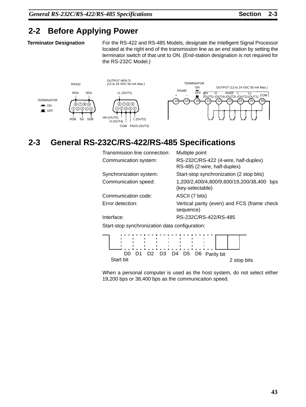# **2-2 Before Applying Power**

**Terminator Designation**

For the RS-422 and RS-485 Models, designate the Intelligent Signal Processor located at the right end of the transmission line as an end station by setting the terminator switch of that unit to ON. (End-station designation is not required for the RS-232C Model.)



# **2-3 General RS-232C/RS-422/RS-485 Specifications**

| Transmission line connection: | Multiple point                                                       |
|-------------------------------|----------------------------------------------------------------------|
| Communication system:         | RS-232C/RS-422 (4-wire, half-duplex)<br>RS-485 (2-wire, half-duplex) |
| Synchronization system:       | Start-stop synchronization (2 stop bits)                             |
| Communication speed:          | 1,200/2,400/4,800/9,600/19,200/38,400 bps<br>(key-selectable)        |
| Communication code:           | ASCII (7 bits)                                                       |
| Error detection:              | Vertical parity (even) and FCS (frame check<br>sequence)             |
| Interface:                    | RS-232C/RS-422/RS-485                                                |
|                               |                                                                      |

Start-stop synchronization data configuration:



When a personal computer is used as the host system, do not select either 19,200 bps or 38,400 bps as the communication speed.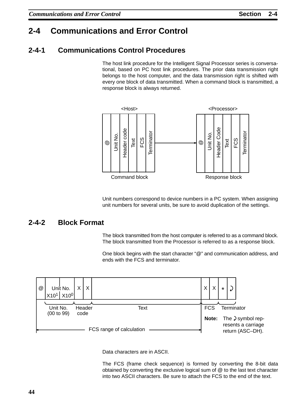### **2-4 Communications and Error Control**

### **2-4-1 Communications Control Procedures**

The host link procedure for the Intelligent Signal Processor series is conversational, based on PC host link procedures. The prior data transmission right belongs to the host computer, and the data transmission right is shifted with every one block of data transmitted. When a command block is transmitted, a response block is always returned.



Unit numbers correspond to device numbers in a PC system. When assigning unit numbers for several units, be sure to avoid duplication of the settings.

### **2-4-2 Block Format**

The block transmitted from the host computer is referred to as a command block. The block transmitted from the Processor is referred to as a response block.

One block begins with the start character "@" and communication address, and ends with the FCS and terminator.



Data characters are in ASCII.

The FCS (frame check sequence) is formed by converting the 8-bit data obtained by converting the exclusive logical sum of @ to the last text character into two ASCII characters. Be sure to attach the FCS to the end of the text.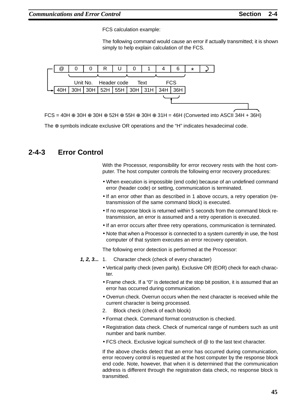FCS calculation example:

The following command would cause an error if actually transmitted; it is shown simply to help explain calculation of the FCS.



FCS = 40H ⊕ 30H ⊕ 30H ⊕ 52H ⊕ 55H ⊕ 30H ⊕ 31H = 46H (Converted into ASCII 34H + 36H)

The ⊕ symbols indicate exclusive OR operations and the "H" indicates hexadecimal code.

### **2-4-3 Error Control**

With the Processor, responsibility for error recovery rests with the host computer. The host computer controls the following error recovery procedures:

- When execution is impossible (end code) because of an undefined command error (header code) or setting, communication is terminated.
- If an error other than as described in 1 above occurs, a retry operation (retransmission of the same command block) is executed.
- If no response block is returned within 5 seconds from the command block retransmission, an error is assumed and a retry operation is executed.
- If an error occurs after three retry operations, communication is terminated.
- Note that when a Processor is connected to a system currently in use, the host computer of that system executes an error recovery operation.

The following error detection is performed at the Processor:

- **1, 2, 3...** 1. Character check (check of every character)
	- Vertical parity check (even parity). Exclusive OR (EOR) check for each character.
	- Frame check. If a "0" is detected at the stop bit position, it is assumed that an error has occurred during communication.
	- Overrun check. Overrun occurs when the next character is received while the current character is being processed.
	- Block check (check of each block)
	- Format check. Command format construction is checked.
	- Registration data check. Check of numerical range of numbers such as unit number and bank number.
	- FCS check. Exclusive logical sumcheck of @ to the last text character.

If the above checks detect that an error has occurred during communication, error recovery control is requested at the host computer by the response block end code. Note, however, that when it is determined that the communication address is different through the registration data check, no response block is transmitted.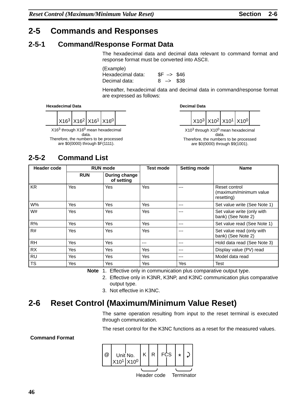# **2-5 Commands and Responses**

### **2-5-1 Command/Response Format Data**

The hexadecimal data and decimal data relevant to command format and response format must be converted into ASCII.

(Example) Hexadecimal data:  $\text{SF} \rightarrow \text{$46}$ Decimal data:  $8 \rightarrow \$38$ 

Hereafter, hexadecimal data and decimal data in command/response format are expressed as follows:

**Hexadecimal Data Decimal Data Decimal Data Decimal Data Decimal Data** 



X163 through X160 mean hexadecimal data.

Therefore, the numbers to be processed are \$0(0000) through \$F(1111).

# **2-5-2 Command List**



X103 through X100 mean hexadecimal data. Therefore, the numbers to be processed are \$0(0000) through \$9(1001).

**Header code RUN mode Test mode Setting mode Name RUN During change of setting** KR Yes Yes Yes Yes --- Reset control (maximum/minimum value resetting) W% Yes Yes Yes --- Set value write (See Note 1) W# Yes Yes Yes --- Set value write (only with bank) (See Note 2) R% R% R% R% R% R% R% R% R% Note 1) R# Yes Yes Yes Yes Yes --- Set value read (only with bank) (See Note 2) RH Yes  $\vert$  Yes  $\vert$  --  $\vert$  --  $\vert$  --  $\vert$  Hold data read (See Note 3) RX  $\vert$  Yes  $\vert$  Yes  $\vert$  Yes  $\vert$  --  $\vert$  Display value (PV) read RU Pes Yes Yes Yes --- Model data read TS Yes Yes Yes Yes Test **Note** 1. Effective only in communication plus comparative output type.

- 2. Effective only in K3NR, K3NP, and K3NC communication plus comparative output type.
- 3. Not effective in K3NC.

# **2-6 Reset Control (Maximum/Minimum Value Reset)**

The same operation resulting from input to the reset terminal is executed through communication.

The reset control for the K3NC functions as a reset for the measured values.

#### **Command Format**

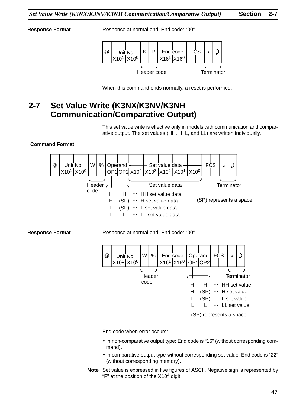**Response Format**

Response at normal end. End code: "00"



When this command ends normally, a reset is performed.

### **2-7 Set Value Write (K3NX/K3NV/K3NH Communication/Comparative Output)**

This set value write is effective only in models with communication and comparative output. The set values (HH, H, L, and LL) are written individually.

#### **Command Format**



**Response Format**

Response at normal end. End code: "00"



End code when error occurs:

- In non-comparative output type: End code is "16" (without corresponding command).
- In comparative output type without corresponding set value: End code is "22" (without corresponding memory).
- **Note** Set value is expressed in five figures of ASCII. Negative sign is represented by "F" at the position of the  $X10<sup>4</sup>$  digit.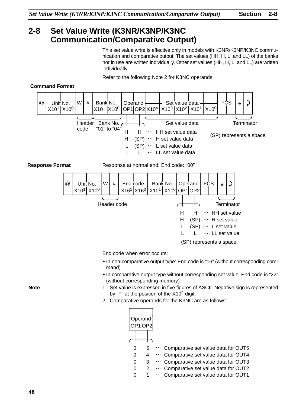## **2-8 Set Value Write (K3NR/K3NP/K3NC Communication/Comparative Output)**

This set value write is effective only in models with K3NR/K3NP/K3NC communication and comparative output. The set values (HH, H, L, and LL) of the banks not in use are written individually. Other set values (HH, H, L, and LL) are written individually.

Refer to the following Note 2 for K3NC operands.

#### **Command Format**





End code when error occurs:

- In non-comparative output type: End code is "16" (without corresponding command).
- In comparative output type without corresponding set value: End code is "22" (without corresponding memory).
- **Note** 1. Set value is expressed in five figures of ASCII. Negative sign is represented by "F" at the position of the X10<sup>4</sup> digit.
	- 2. Comparative operands for the K3NC are as follows:

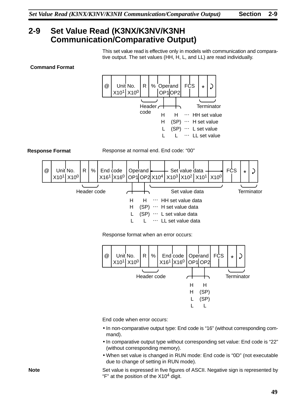### **2-9 Set Value Read (K3NX/K3NV/K3NH Communication/Comparative Output)**

This set value read is effective only in models with communication and comparative output. The set values (HH, H, L, and LL) are read individually.

#### **Command Format**



#### **Response Format**

Response at normal end. End code: "00"



Response format when an error occurs:



End code when error occurs:

- In non-comparative output type: End code is "16" (without corresponding command).
- In comparative output type without corresponding set value: End code is "22" (without corresponding memory).
- When set value is changed in RUN mode: End code is "0D" (not executable due to change of setting in RUN mode).

**Note** Set value is expressed in five figures of ASCII. Negative sign is represented by "F" at the position of the  $X10<sup>4</sup>$  digit.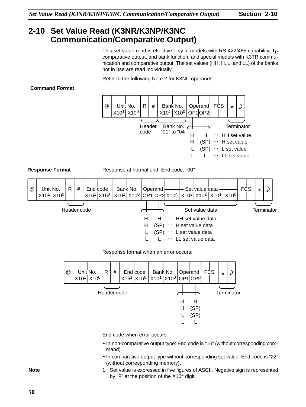## **2-10 Set Value Read (K3NR/K3NP/K3NC Communication/Comparative Output)**

This set value read is effective only in models with RS-422/485 capability,  $T_R$ comparative output, and bank function, and special models with K3TR communication and comparative output. The set values (HH, H, L, and LL) of the banks not in use are read individually.

Refer to the following Note 2 for K3NC operands.

#### **Command Format**



#### **Response Format**

Response at normal end. End code: "00"



Response format when an error occurs:



End code when error occurs:

- In non-comparative output type: End code is "16" (without corresponding command).
- In comparative output type without corresponding set value: End code is "22" (without corresponding memory).

**Note** 1. Set value is expressed in five figures of ASCII. Negative sign is represented by "F" at the position of the  $X10<sup>4</sup>$  digit.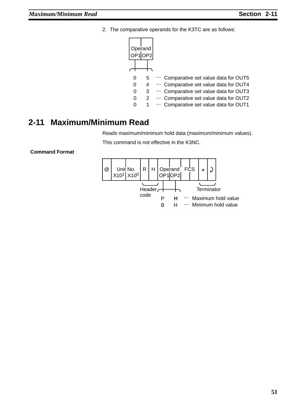2. The comparative operands for the K3TC are as follows:



### **2-11 Maximum/Minimum Read**

Reads maximum/minimum hold data (maximum/minimum values).

This command is not effective in the K3NC.

**Command Format**

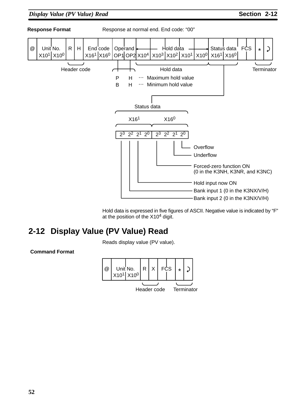#### *Display Value (PV Value) Read* Section 2-12



Hold data is expressed in five figures of ASCII. Negative value is indicated by "F" at the position of the X104 digit.

## **2-12 Display Value (PV Value) Read**

Reads display value (PV value).

**Command Format**

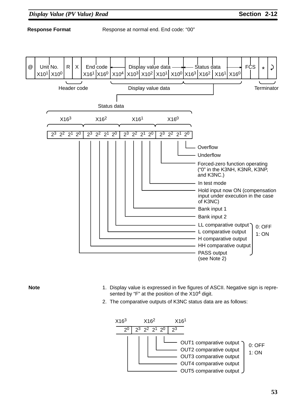### *Display Value (PV Value) Read* Section 2-12

**Response Format**

Response at normal end. End code: "00"



- **Note** 1. Display value is expressed in five figures of ASCII. Negative sign is represented by "F" at the position of the X10<sup>4</sup> digit.
	- 2. The comparative outputs of K3NC status data are as follows:

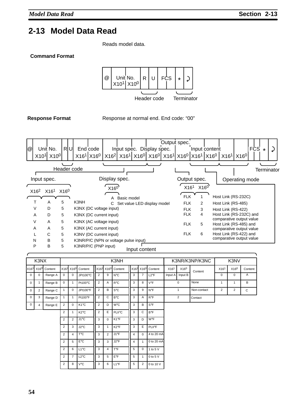## **2-13 Model Data Read**

Reads model data.

#### **Command Format**



**Response Format**

Response at normal end. End code: "00"



| K3NX             |                  |         | K3NH           |                |                   |                |                |                     |      | K3NR/K3NP/K3NC |                            |                  | K3NV           |             |                  |                |         |
|------------------|------------------|---------|----------------|----------------|-------------------|----------------|----------------|---------------------|------|----------------|----------------------------|------------------|----------------|-------------|------------------|----------------|---------|
| X16 <sup>1</sup> | X16 <sup>0</sup> | Content | X16            | X160           | Content           | X161           | X160           | Content             | X161 | X160           | Content                    | X16 <sup>1</sup> | X160           | Content     | X16 <sup>1</sup> | X160           | Content |
| $\mathbf 0$      | 0                | Range A | $\mathbf 0$    | $\mathbf 0$    | JPt100°C          | $\overline{2}$ | 9              | $N^{\circ}C$        | 3    | 7              | $L2^{\circ}F$              | Input A          | Input B        |             | 0                | $\mathbf 0$    | Α       |
| 0                | 1                | Range B | $\mathbf 0$    | $\mathbf{1}$   | Pt100°C           | $\overline{2}$ | $\overline{A}$ | $R^{\circ}C$        | 3    | 8              | V°F                        |                  | $\mathbf 0$    | None        | 1                | $\mathbf{1}$   | B       |
| 0                | $\overline{2}$   | Range C | $\mathbf{1}$   | $\mathbf 0$    | JPt100°F          | $\overline{2}$ | B              | S°C                 | 3    | 9              | $N^{\circ}F$               |                  | 1              | Non-contact | $\overline{2}$   | $\overline{2}$ | C       |
| 0                | 3                | Range D | $\mathbf{1}$   | $\mathbf{1}$   | Pt100°F           | $\overline{2}$ | C              | $B^{\circ}C$        | 3    | Α              | $R^{\circ}F$               |                  | $\overline{2}$ | Contact     |                  |                |         |
| $\mathbf 0$      | 4                | Range E | $\overline{c}$ | $\mathbf 0$    | K1°C              | $\overline{2}$ | D              | <b>W°C</b>          | 3    | В              | $S^{\circ}F$               |                  |                |             |                  |                |         |
|                  |                  |         | $\overline{2}$ | $\mathbf{1}$   | K <sub>2</sub> °C | $\overline{2}$ | E              | PLII <sup>°</sup> C | 3    | C              | <b>B</b> <sup>o</sup> F    |                  |                |             |                  |                |         |
|                  |                  |         | $\overline{2}$ | $\overline{2}$ | $J1^{\circ}C$     | 3              | $\Omega$       | K1°F                | 3    | D              | W°F                        |                  |                |             |                  |                |         |
|                  |                  |         | $\overline{2}$ | 3              | $J2^{\circ}C$     | 3              | 1              | K <sub>2°</sub> F   | 3    | E              | <b>PLII</b> <sup>°</sup> F |                  |                |             |                  |                |         |
|                  |                  |         | 2              | $\overline{4}$ | T°C               | 3              | $\overline{2}$ | $J1^{\circ}F$       | 4    | $\Omega$       | 4 to 20 mA                 |                  |                |             |                  |                |         |
|                  |                  |         | $\overline{2}$ | 5              | E°C               | 3              | 3              | $J2^{\circ}F$       | 4    |                | 0 to 20 mA                 |                  |                |             |                  |                |         |
|                  |                  |         | 2              | 6              | $L1^{\circ}C$     | 3              | $\overline{4}$ | T°F                 | 5    | 0              | 1 to 5 V                   |                  |                |             |                  |                |         |
|                  |                  |         | 2              | $\overline{7}$ | L2°C              | 3              | 5              | E°F                 | 5    |                | 0 to 5 V                   |                  |                |             |                  |                |         |
|                  |                  |         | $\overline{2}$ | 8              | V°C               | 3              | 6              | L <sub>1°F</sub>    | 5    | $\overline{2}$ | 0 to 10 V                  |                  |                |             |                  |                |         |
|                  |                  |         |                |                |                   |                |                |                     |      |                |                            |                  |                |             |                  |                |         |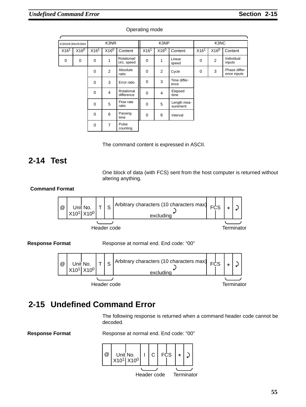| K3NX/K3NV/K3NH           |   |                  | K3NR           |                            |                  | K3NP             |                         | K3NC             |                  |                              |
|--------------------------|---|------------------|----------------|----------------------------|------------------|------------------|-------------------------|------------------|------------------|------------------------------|
| X160<br>X16 <sup>1</sup> |   | X16 <sup>1</sup> | X160           | Content                    | X16 <sup>1</sup> | X16 <sup>0</sup> | Content                 | X16 <sup>1</sup> | X16 <sup>0</sup> | Content                      |
| 0                        | 0 | 0                | 1              | Rotational/<br>circ. speed | 0                | 1                | Linear<br>speed         | $\mathbf 0$      | $\overline{2}$   | Individual<br>inputs         |
|                          |   | $\mathbf 0$      | $\overline{2}$ | Absolute<br>ratio          | 0                | 2                | Cycle                   | $\mathbf 0$      | 3                | Phase differ-<br>ence inputs |
|                          |   | $\mathbf 0$      | 3              | Error ratio                | 0                | 3                | Time differ-<br>ence    |                  |                  |                              |
|                          |   | $\mathbf 0$      | $\overline{4}$ | Rotational<br>difference   | 0                | $\overline{4}$   | Elapsed<br>time         |                  |                  |                              |
|                          |   | $\mathbf 0$      | 5              | Flow rate<br>ratio         | 0                | 5                | Length mea-<br>surement |                  |                  |                              |
|                          |   | $\mathbf 0$      | 6              | Passing<br>time            | 0                | 6                | Interval                |                  |                  |                              |
|                          |   | $\mathbf 0$      | $\overline{7}$ | Pulse<br>counting          |                  |                  |                         |                  |                  |                              |

Operating mode

The command content is expressed in ASCII.

### **2-14 Test**

One block of data (with FCS) sent from the host computer is returned without altering anything.

#### **Command Format**



**Response Format**

Response at normal end. End code: "00"



# **2-15 Undefined Command Error**

The following response is returned when a command header code cannot be decoded.

**Response Format**

Response at normal end. End code: "00"

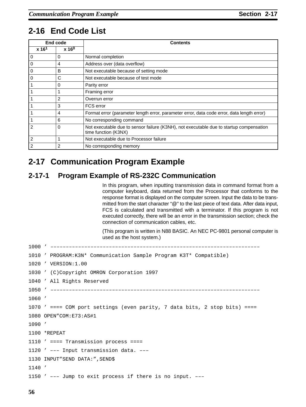# **2-16 End Code List**

| End code          |                | <b>Contents</b>                                                                                                 |  |  |  |  |  |
|-------------------|----------------|-----------------------------------------------------------------------------------------------------------------|--|--|--|--|--|
| x 16 <sup>1</sup> | x 160          |                                                                                                                 |  |  |  |  |  |
| $\overline{0}$    | 0              | Normal completion                                                                                               |  |  |  |  |  |
| $\overline{0}$    | 4              | Address over (data overflow)                                                                                    |  |  |  |  |  |
| $\overline{0}$    | B              | Not executable because of setting mode                                                                          |  |  |  |  |  |
| $\overline{0}$    | C              | Not executable because of test mode                                                                             |  |  |  |  |  |
| $\vert$ 1         | 0              | Parity error                                                                                                    |  |  |  |  |  |
| $\vert$ 1         |                | Framing error                                                                                                   |  |  |  |  |  |
| $\vert$ 1         | 2              | Overrun error                                                                                                   |  |  |  |  |  |
| 1                 | 3              | FCS error                                                                                                       |  |  |  |  |  |
| $\vert$ 1         | 4              | Format error (parameter length error, parameter error, data code error, data length error)                      |  |  |  |  |  |
| $\vert$ 1         | 6              | No corresponding command                                                                                        |  |  |  |  |  |
| $\overline{2}$    | 0              | Not executable due to sensor failure (K3NH), not executable due to startup compensation<br>time function (K3NX) |  |  |  |  |  |
| $\overline{2}$    |                | Not executable due to Processor failure                                                                         |  |  |  |  |  |
| $\overline{2}$    | $\overline{2}$ | No corresponding memory                                                                                         |  |  |  |  |  |

# **2-17 Communication Program Example**

### **2-17-1 Program Example of RS-232C Communication**

In this program, when inputting transmission data in command format from a computer keyboard, data returned from the Processor that conforms to the response format is displayed on the computer screen. Input the data to be transmitted from the start character "@" to the last piece of text data. After data input, FCS is calculated and transmitted with a terminator. If this program is not executed correctly, there will be an error in the transmission section; check the connection of communication cables, etc.

(This program is written in N88 BASIC. An NEC PC-9801 personal computer is used as the host system.)

```
1000 ' ––––––––––––––––––––––––––––––––––––––––––––––––––––––––––––––––––––
1010 ' PROGRAM:K3N* Communication Sample Program K3T* Compatible)
1020 ' VERSION:1.00
1030 ' (C)Copyright OMRON Corporation 1997
1040 ' All Rights Reserved
1050 ' ––––––––––––––––––––––––––––––––––––––––––––––––––––––––––––––––––––
1060 '
1070 ' ==== COM port settings (even parity, 7 data bits, 2 stop bits) ====
1080 OPEN"COM:E73:AS#1
1090 '
1100 *REPEAT
1110 ' ==== Transmission process ====
1120 ' ––– Input transmission data. –––
1130 INPUT"SEND DATA:",SEND$
1140 '
1150 ' ––– Jump to exit process if there is no input. –––
```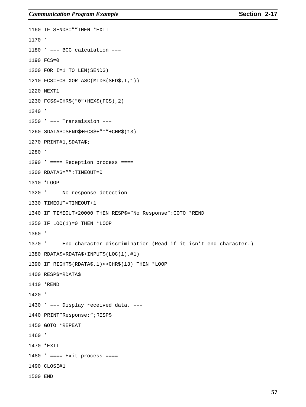#### **Communication Program Example Section Section 2-17**

```
1160 IF SEND$=""THEN *EXIT
1170 '
1180 ' ––– BCC calculation –––
1190 FCS=0
1200 FOR I=1 TO LEN(SEND$)
1210 FCS=FCS XOR ASC(MID$(SED$,I,1))
1220 NEXT1
1230 FCS$=CHR$("0"+HEX$(FCS),2)
1240 '
1250 ' ––– Transmission –––
1260 SDATA$=SEND$+FCS$+"*"+CHR$(13)
1270 PRINT#1,SDATA$;
1280 '
1290 ' ==== Reception process ====
1300 RDATA$="":TIMEOUT=0
1310 *LOOP
1320 ' ––– No-response detection –––
1330 TIMEOUT=TIMEOUT+1
1340 IF TIMEOUT>20000 THEN RESP$="No Response":GOTO *REND
1350 IF LOC(1)=0 THEN *LOOP
1360 '
1370 ' ––– End character discrimination (Read if it isn't end character.) –––
1380 RDATA$=RDATA$+INPUT$(LOC(1),#1)
1390 IF RIGHT$(RDATA$,1)<>CHR$(13) THEN *LOOP
1400 RESP$=RDATA$
1410 *REND
1420 '
1430 ' ––– Display received data. –––
1440 PRINT"Response:";RESP$
1450 GOTO *REPEAT
1460 '
1470 *EXIT
1480 ' ==== Exit process ====
1490 CLOSE#1
1500 END
```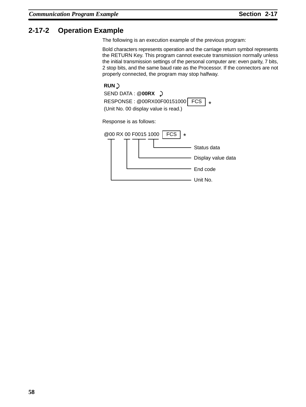### **2-17-2 Operation Example**

The following is an execution example of the previous program:

Bold characters represents operation and the carriage return symbol represents the RETURN Key. This program cannot execute transmission normally unless the initial transmission settings of the personal computer are: even parity, 7 bits, 2 stop bits, and the same baud rate as the Processor. If the connectors are not properly connected, the program may stop halfway.

### **RUN**

SEND DATA : @**00RX** RESPONSE : @00RX00F00151000 FCS \*<br>(Unit No. 00 display value is read.)

Response is as follows:

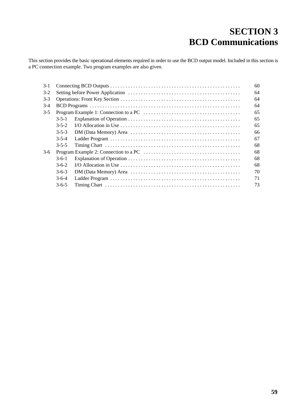# **SECTION 3 BCD Communications**

This section provides the basic operational elements required in order to use the BCD output model. Included in this section is a PC connection example. Two program examples are also given.

| $3-1$ |             | 60                                                                                                                      |    |  |  |  |  |  |  |  |
|-------|-------------|-------------------------------------------------------------------------------------------------------------------------|----|--|--|--|--|--|--|--|
| $3-2$ |             |                                                                                                                         |    |  |  |  |  |  |  |  |
| $3-3$ |             |                                                                                                                         |    |  |  |  |  |  |  |  |
| $3-4$ |             |                                                                                                                         |    |  |  |  |  |  |  |  |
| $3-5$ |             |                                                                                                                         | 65 |  |  |  |  |  |  |  |
|       | $3 - 5 - 1$ |                                                                                                                         | 65 |  |  |  |  |  |  |  |
|       | $3 - 5 - 2$ | I/O Allocation in Use $\dots \dots \dots \dots \dots \dots \dots \dots \dots \dots \dots \dots \dots \dots \dots \dots$ | 65 |  |  |  |  |  |  |  |
|       | $3 - 5 - 3$ |                                                                                                                         | 66 |  |  |  |  |  |  |  |
|       | $3 - 5 - 4$ |                                                                                                                         | 67 |  |  |  |  |  |  |  |
|       | $3 - 5 - 5$ |                                                                                                                         | 68 |  |  |  |  |  |  |  |
| $3-6$ |             |                                                                                                                         | 68 |  |  |  |  |  |  |  |
|       | $3-6-1$     |                                                                                                                         | 68 |  |  |  |  |  |  |  |
|       | $3 - 6 - 2$ |                                                                                                                         | 68 |  |  |  |  |  |  |  |
|       | $3-6-3$     |                                                                                                                         | 70 |  |  |  |  |  |  |  |
|       | $3-6-4$     |                                                                                                                         | 71 |  |  |  |  |  |  |  |
|       | $3 - 6 - 5$ |                                                                                                                         | 73 |  |  |  |  |  |  |  |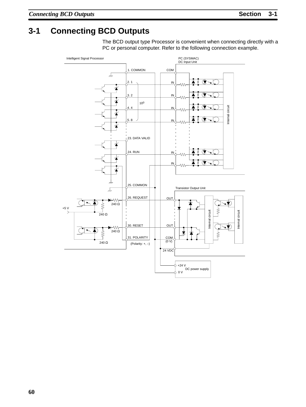# **3-1 Connecting BCD Outputs**

The BCD output type Processor is convenient when connecting directly with a PC or personal computer. Refer to the following connection example.

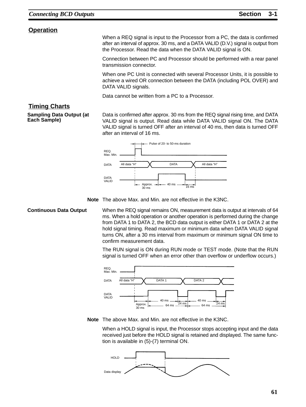### **Operation**

When a REQ signal is input to the Processor from a PC, the data is confirmed after an interval of approx. 30 ms, and a DATA VALID (D.V.) signal is output from the Processor. Read the data when the DATA VALID signal is ON.

Connection between PC and Processor should be performed with a rear panel transmission connector.

When one PC Unit is connected with several Processor Units, it is possible to achieve a wired OR connection between the DATA (including POL OVER) and DATA VALID signals.

Data cannot be written from a PC to a Processor.

### **Timing Charts**

**Sampling Data Output (at Each Sample)**

Data is confirmed after approx. 30 ms from the REQ signal rising time, and DATA VALID signal is output. Read data while DATA VALID signal ON. The DATA VALID signal is turned OFF after an interval of 40 ms, then data is turned OFF after an interval of 16 ms.



**Note** The above Max. and Min. are not effective in the K3NC.

#### **Continuous Data Output**

When the REQ signal remains ON, measurement data is output at intervals of 64 ms. When a hold operation or another operation is performed during the change from DATA 1 to DATA 2, the BCD data output is either DATA 1 or DATA 2 at the hold signal timing. Read maximum or minimum data when DATA VALID signal turns ON, after a 30 ms interval from maximum or minimum signal ON time to confirm measurement data.

The RUN signal is ON during RUN mode or TEST mode. (Note that the RUN signal is turned OFF when an error other than overflow or underflow occurs.)



**Note** The above Max. and Min. are not effective in the K3NC.

When a HOLD signal is input, the Processor stops accepting input and the data received just before the HOLD signal is retained and displayed. The same function is available in (5)-(7) terminal ON.

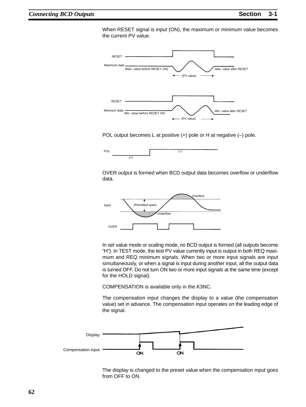When RESET signal is input (ON), the maximum or minimum value becomes the current PV value.



POL output becomes L at positive (+) pole or H at negative (–) pole.



OVER output is formed when BCD output data becomes overflow or underflow data.



In set value mode or scaling mode, no BCD output is formed (all outputs become "H"). In TEST mode, the test PV value currently input is output in both REQ maximum and REQ minimum signals. When two or more input signals are input simultaneously, or when a signal is input during another input, all the output data is turned OFF. Do not turn ON two or more input signals at the same time (except for the HOLD signal).

COMPENSATION is available only in the K3NC.

The compensation input changes the display to a value (the compensation value) set in advance. The compensation input operates on the leading edge of the signal.



The display is changed to the preset value when the compensation input goes from OFF to ON.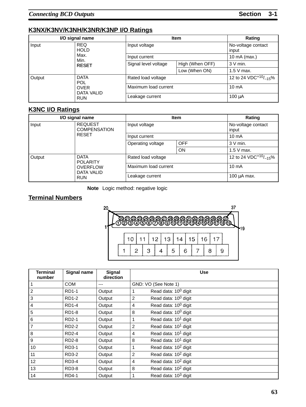### **K3NX/K3NV/K3NH/K3NR/K3NP I/O Ratings**

|        | I/O signal name          | <b>Item</b>          | Rating                                         |              |
|--------|--------------------------|----------------------|------------------------------------------------|--------------|
| Input  | REQ.<br><b>HOLD</b>      | Input voltage        | No-voltage contact<br>input                    |              |
|        | Max.<br>Min.             | Input current        | 10 mA (max.)                                   |              |
|        | <b>RESET</b>             | Signal level voltage | High (When OFF)                                | $3V$ min.    |
|        |                          |                      | Low (When ON)                                  | $1.5$ V max. |
| Output | DATA<br>POL.             | Rated load voltage   | 12 to 24 VDC <sup>+10</sup> / <sub>-15</sub> % |              |
|        | <b>OVER</b>              | Maximum load current | $10 \text{ mA}$                                |              |
|        | DATA VALID<br><b>RUN</b> | Leakage current      | $100 \mu A$                                    |              |

### **K3NC I/O Ratings**

|        | I/O signal name                       | <b>Item</b>          | Rating                                         |              |
|--------|---------------------------------------|----------------------|------------------------------------------------|--------------|
| Input  | <b>REQUEST</b><br><b>COMPENSATION</b> | Input voltage        | No-voltage contact<br>input                    |              |
|        | <b>RESET</b>                          | Input current        | $10 \text{ mA}$                                |              |
|        |                                       | Operating voltage    | <b>OFF</b>                                     | $3V$ min.    |
|        |                                       |                      | <b>ON</b>                                      | $1.5$ V max. |
| Output | DATA<br><b>POLARITY</b>               | Rated load voltage   | 12 to 24 VDC <sup>+10</sup> / <sub>-15</sub> % |              |
|        | <b>OVERFLOW</b>                       | Maximum load current | $10 \text{ mA}$                                |              |
|        | DATA VALID<br><b>RUN</b>              | Leakage current      | 100 $\mu$ A max.                               |              |

**Note** Logic method: negative logic

### **Terminal Numbers**



| Terminal<br>number      | Signal name  | Signal<br>direction | <b>Use</b>                                         |
|-------------------------|--------------|---------------------|----------------------------------------------------|
| $\vert$ 1               | <b>COM</b>   |                     | GND: VO (See Note 1)                               |
| $\overline{\mathbf{c}}$ | <b>RD1-1</b> | Output              | Read data: 10 <sup>0</sup> digit                   |
| $\overline{3}$          | <b>RD1-2</b> | Output              | Read data: 10 <sup>0</sup> digit<br>2              |
| $\overline{4}$          | <b>RD1-4</b> | Output              | Read data: 10 <sup>0</sup> digit<br>$\overline{4}$ |
| $\overline{5}$          | <b>RD1-8</b> | Output              | Read data: 10 <sup>0</sup> digit<br>8              |
| 6                       | RD2-1        | Output              | Read data: 10 <sup>1</sup> digit<br>1              |
| $\overline{7}$          | RD2-2        | Output              | $\overline{2}$<br>Read data: 10 <sup>1</sup> digit |
| 8                       | <b>RD2-4</b> | Output              | Read data: 10 <sup>1</sup> digit<br>$\overline{4}$ |
| $\overline{9}$          | <b>RD2-8</b> | Output              | 8<br>Read data: 10 <sup>1</sup> digit              |
| 10                      | RD3-1        | Output              | Read data: 10 <sup>2</sup> digit<br>1              |
| 11                      | RD3-2        | Output              | Read data: 10 <sup>2</sup> digit<br>2              |
| 12                      | <b>RD3-4</b> | Output              | Read data: 10 <sup>2</sup> digit<br>$\overline{4}$ |
| 13                      | <b>RD3-8</b> | Output              | Read data: 10 <sup>2</sup> digit<br>8              |
| 14                      | <b>RD4-1</b> | Output              | Read data: 10 <sup>3</sup> digit<br>1              |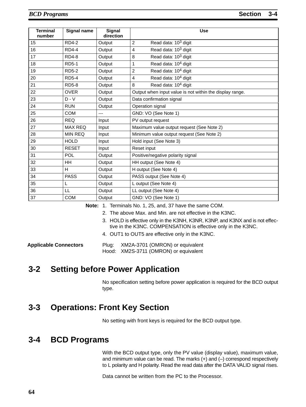| <b>Terminal</b><br>number | Signal name    | Signal<br>direction | <b>Use</b>                                               |  |  |  |  |
|---------------------------|----------------|---------------------|----------------------------------------------------------|--|--|--|--|
| 15                        | <b>RD4-2</b>   | Output              | $\overline{2}$<br>Read data: 10 <sup>3</sup> digit       |  |  |  |  |
| 16                        | <b>RD4-4</b>   | Output              | 4<br>Read data: 10 <sup>3</sup> digit                    |  |  |  |  |
| 17                        | <b>RD4-8</b>   | Output              | Read data: 10 <sup>3</sup> digit<br>8                    |  |  |  |  |
| 18                        | <b>RD5-1</b>   | Output              | Read data: 10 <sup>4</sup> digit<br>1                    |  |  |  |  |
| 19                        | <b>RD5-2</b>   | Output              | Read data: 10 <sup>4</sup> digit<br>$\overline{2}$       |  |  |  |  |
| 20                        | <b>RD5-4</b>   | Output              | Read data: 10 <sup>4</sup> digit<br>4                    |  |  |  |  |
| 21                        | <b>RD5-8</b>   | Output              | Read data: 10 <sup>4</sup> digit<br>8                    |  |  |  |  |
| 22                        | <b>OVER</b>    | Output              | Output when input value is not within the display range. |  |  |  |  |
| 23                        | $D - V$        | Output              | Data confirmation signal                                 |  |  |  |  |
| 24                        | <b>RUN</b>     | Output              | Operation signal                                         |  |  |  |  |
| 25                        | <b>COM</b>     | ---                 | GND: VO (See Note 1)                                     |  |  |  |  |
| 26                        | <b>REQ</b>     | Input               | PV output request                                        |  |  |  |  |
| 27                        | <b>MAX REQ</b> | Input               | Maximum value output request (See Note 2)                |  |  |  |  |
| 28                        | <b>MIN REQ</b> | Input               | Minimum value output request (See Note 2)                |  |  |  |  |
| 29                        | <b>HOLD</b>    | Input               | Hold input (See Note 3)                                  |  |  |  |  |
| $30\,$                    | <b>RESET</b>   | Input               | Reset input                                              |  |  |  |  |
| 31                        | POL            | Output              | Positive/negative polarity signal                        |  |  |  |  |
| 32                        | <b>HH</b>      | Output              | HH output (See Note 4)                                   |  |  |  |  |
| 33                        | H              | Output              | H output (See Note 4)                                    |  |  |  |  |
| 34                        | <b>PASS</b>    | Output              | PASS output (See Note 4)                                 |  |  |  |  |
| 35                        | L              | Output              | L output (See Note 4)                                    |  |  |  |  |
| 36                        | LL             | Output              | LL output (See Note 4)                                   |  |  |  |  |
| 37                        | <b>COM</b>     | Output              | GND: VO (See Note 1)                                     |  |  |  |  |

**Note:** 1. Terminals No. 1, 25, and, 37 have the same COM.

2. The above Max. and Min. are not effective in the K3NC.

- 3. HOLD is effective only in the K3NH, K3NR, K3NP, and K3NX and is not effective in the K3NC. COMPENSATION is effective only in the K3NC.
- 4. OUT1 to OUT5 are effective only in the K3NC.

**Applicable Connectors**

Plug: XM2A-3701 (OMRON) or equivalent Hood: XM2S-3711 (OMRON) or equivalent

**3-2 Setting before Power Application**

No specification setting before power application is required for the BCD output type.

## **3-3 Operations: Front Key Section**

No setting with front keys is required for the BCD output type.

### **3-4 BCD Programs**

With the BCD output type, only the PV value (display value), maximum value, and minimum value can be read. The marks (+) and (–) correspond respectively to L polarity and H polarity. Read the read data after the DATA VALID signal rises.

Data cannot be written from the PC to the Processor.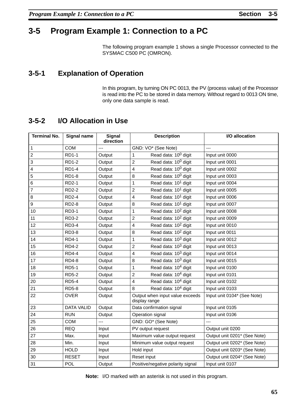### **3-5 Program Example 1: Connection to a PC**

The following program example 1 shows a single Processor connected to the SYSMAC C500 PC (OMRON).

### **3-5-1 Explanation of Operation**

In this program, by turning ON PC 0013, the PV (process value) of the Processor is read into the PC to be stored in data memory. Without regard to 0013 ON time, only one data sample is read.

### **3-5-2 I/O Allocation in Use**

| <b>Terminal No.</b>     | Signal name       |        | <b>Description</b>                                 | I/O allocation               |
|-------------------------|-------------------|--------|----------------------------------------------------|------------------------------|
| $\mathbf{1}$            | <b>COM</b>        | ---    | GND: VO* (See Note)                                | $---$                        |
| $\overline{\mathbf{c}}$ | <b>RD1-1</b>      | Output | Read data: 10 <sup>0</sup> digit<br>1              | Input unit 0000              |
| 3                       | <b>RD1-2</b>      | Output | Read data: 10 <sup>0</sup> digit<br>$\overline{c}$ | Input unit 0001              |
| 4                       | <b>RD1-4</b>      | Output | Read data: 10 <sup>0</sup> digit<br>4              | Input unit 0002              |
| 5                       | <b>RD1-8</b>      | Output | Read data: 10 <sup>0</sup> digit<br>8              | Input unit 0003              |
| 6                       | <b>RD2-1</b>      | Output | $\mathbf{1}$<br>Read data: 10 <sup>1</sup> digit   | Input unit 0004              |
| $\overline{7}$          | <b>RD2-2</b>      | Output | $\overline{c}$<br>Read data: 10 <sup>1</sup> digit | Input unit 0005              |
| 8                       | <b>RD2-4</b>      | Output | 4<br>Read data: 10 <sup>1</sup> digit              | Input unit 0006              |
| 9                       | <b>RD2-8</b>      | Output | 8<br>Read data: 10 <sup>1</sup> digit              | Input unit 0007              |
| 10                      | RD3-1             | Output | Read data: 10 <sup>2</sup> digit<br>$\mathbf{1}$   | Input unit 0008              |
| 11                      | RD3-2             | Output | Read data: 10 <sup>2</sup> digit<br>$\overline{c}$ | Input unit 0009              |
| 12                      | <b>RD3-4</b>      | Output | Read data: 10 <sup>2</sup> digit<br>4              | Input unit 0010              |
| 13                      | <b>RD3-8</b>      | Output | 8<br>Read data: 10 <sup>2</sup> digit              | Input unit 0011              |
| 14                      | <b>RD4-1</b>      | Output | $\mathbf{1}$<br>Read data: 10 <sup>3</sup> digit   | Input unit 0012              |
| 15                      | <b>RD4-2</b>      | Output | $\overline{2}$<br>Read data: 10 <sup>3</sup> digit | Input unit 0013              |
| 16                      | <b>RD4-4</b>      | Output | Read data: 10 <sup>3</sup> digit<br>4              | Input unit 0014              |
| 17                      | <b>RD4-8</b>      | Output | Read data: 10 <sup>3</sup> digit<br>8              | Input unit 0015              |
| 18                      | <b>RD5-1</b>      | Output | $\mathbf{1}$<br>Read data: 10 <sup>4</sup> digit   | Input unit 0100              |
| 19                      | <b>RD5-2</b>      | Output | $\overline{c}$<br>Read data: 10 <sup>4</sup> digit | Input unit 0101              |
| 20                      | <b>RD5-4</b>      | Output | Read data: 10 <sup>4</sup> digit<br>4              | Input unit 0102              |
| 21                      | <b>RD5-8</b>      | Output | 8<br>Read data: 10 <sup>4</sup> digit              | Input unit 0103              |
| 22                      | <b>OVER</b>       | Output | Output when input value exceeds<br>display range   | Input unit 0104* (See Note)  |
| 23                      | <b>DATA VALID</b> | Output | Data confirmation signal                           | Input unit 0105              |
| 24                      | <b>RUN</b>        | Output | Operation signal                                   | Input unit 0106              |
| 25                      | <b>COM</b>        | ---    | GND: GO* (See Note)                                | ---                          |
| 26                      | <b>REQ</b>        | Input  | PV output request                                  | Output unit 0200             |
| 27                      | Max.              | Input  | Maximum value output request                       | Output unit 0201* (See Note) |
| 28                      | Min.              | Input  | Minimum value output request                       | Output unit 0202* (See Note) |
| 29                      | <b>HOLD</b>       | Input  | Hold input                                         | Output unit 0203* (See Note) |
| 30                      | <b>RESET</b>      | Input  | Reset input                                        | Output unit 0204* (See Note) |
| 31                      | <b>POL</b>        | Output | Positive/negative polarity signal                  | Input unit 0107              |

**Note:** I/O marked with an asterisk is not used in this program.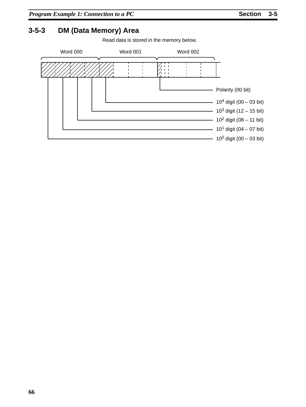# **3-5-3 DM (Data Memory) Area**

Read data is stored in the memory below.

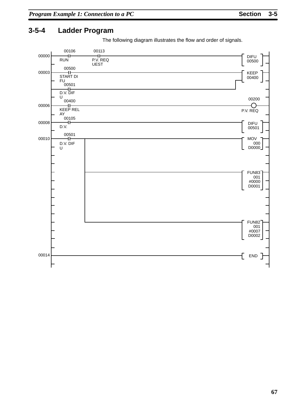## **3-5-4 Ladder Program**

The following diagram illustrates the flow and order of signals.

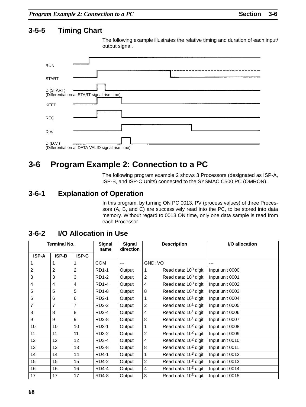### **3-5-5 Timing Chart**

The following example illustrates the relative timing and duration of each input/ output signal.



# **3-6 Program Example 2: Connection to a PC**

The following program example 2 shows 3 Processors (designated as ISP-A, ISP-B, and ISP-C Units) connected to the SYSMAC C500 PC (OMRON).

#### **3-6-1 Explanation of Operation**

In this program, by turning ON PC 0013, PV (process values) of three Processors (A, B, and C) are successively read into the PC, to be stored into data memory. Without regard to 0013 ON time, only one data sample is read from each Processor.

| <b>Terminal No.</b>     |                | Signal<br>name | <b>Signal</b><br>direction | <b>Description</b> |                | I/O allocation                   |                 |
|-------------------------|----------------|----------------|----------------------------|--------------------|----------------|----------------------------------|-----------------|
| ISP-A                   | ISP-B          | ISP-C          |                            |                    |                |                                  |                 |
| $\mathbf{1}$            | 1              | 1              | <b>COM</b>                 | ---                | GND: VO        |                                  | ---             |
| $\overline{2}$          | $\overline{2}$ | $\overline{2}$ | <b>RD1-1</b>               | Output             | 1              | Read data: 10 <sup>0</sup> digit | Input unit 0000 |
| $\sqrt{3}$              | 3              | 3              | <b>RD1-2</b>               | Output             | $\overline{c}$ | Read data: 10 <sup>0</sup> digit | Input unit 0001 |
| $\overline{\mathbf{4}}$ | 4              | 4              | <b>RD1-4</b>               | Output             | 4              | Read data: 10 <sup>0</sup> digit | Input unit 0002 |
| $\sqrt{5}$              | 5              | 5              | <b>RD1-8</b>               | Output             | 8              | Read data: 10 <sup>0</sup> digit | Input unit 0003 |
| $\,6\,$                 | 6              | 6              | <b>RD2-1</b>               | Output             | 1              | Read data: 10 <sup>1</sup> digit | Input unit 0004 |
| $\overline{7}$          | $\overline{7}$ | $\overline{7}$ | RD2-2                      | Output             | $\overline{c}$ | Read data: 10 <sup>1</sup> digit | Input unit 0005 |
| 8                       | 8              | 8              | <b>RD2-4</b>               | Output             | 4              | Read data: 10 <sup>1</sup> digit | Input unit 0006 |
| $\boldsymbol{9}$        | 9              | 9              | <b>RD2-8</b>               | Output             | 8              | Read data: 10 <sup>1</sup> digit | Input unit 0007 |
| 10                      | 10             | 10             | RD3-1                      | Output             | 1              | Read data: 10 <sup>2</sup> digit | Input unit 0008 |
| 11                      | 11             | 11             | RD3-2                      | Output             | $\overline{2}$ | Read data: 10 <sup>2</sup> digit | Input unit 0009 |
| 12                      | 12             | 12             | RD3-4                      | Output             | $\overline{4}$ | Read data: 10 <sup>2</sup> digit | Input unit 0010 |
| 13                      | 13             | 13             | <b>RD3-8</b>               | Output             | 8              | Read data: 10 <sup>2</sup> digit | Input unit 0011 |
| 14                      | 14             | 14             | <b>RD4-1</b>               | Output             | 1              | Read data: 10 <sup>3</sup> digit | Input unit 0012 |
| 15                      | 15             | 15             | <b>RD4-2</b>               | Output             | $\overline{2}$ | Read data: 10 <sup>3</sup> digit | Input unit 0013 |
| 16                      | 16             | 16             | RD4-4                      | Output             | 4              | Read data: 10 <sup>3</sup> digit | Input unit 0014 |
| 17                      | 17             | 17             | <b>RD4-8</b>               | Output             | 8              | Read data: 10 <sup>3</sup> digit | Input unit 0015 |

#### **3-6-2 I/O Allocation in Use**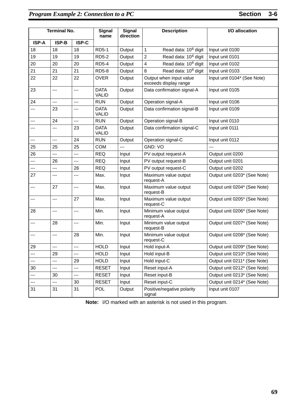| <b>Terminal No.</b> |                | <b>Signal</b><br>name | Signal<br>direction         | <b>Description</b> | I/O allocation                                          |                              |  |  |  |  |
|---------------------|----------------|-----------------------|-----------------------------|--------------------|---------------------------------------------------------|------------------------------|--|--|--|--|
| ISP-A               | ISP-B          | ISP-C                 |                             |                    |                                                         |                              |  |  |  |  |
| 18                  | 18             | 18                    | <b>RD5-1</b>                | Output             | 1<br>Read data: 10 <sup>4</sup> digit                   | Input unit 0100              |  |  |  |  |
| 19                  | 19             | 19                    | <b>RD5-2</b>                | Output             | $\overline{c}$<br>Read data: 10 <sup>4</sup> digit      | Input unit 0101              |  |  |  |  |
| 20                  | 20             | 20                    | <b>RD5-4</b>                | Output             | Read data: 10 <sup>4</sup> digit<br>$\overline{4}$      | Input unit 0102              |  |  |  |  |
| 21                  | 21             | 21                    | <b>RD5-8</b>                | Output             | Read data: 10 <sup>4</sup> digit<br>8                   | Input unit 0103              |  |  |  |  |
| 22                  | 22             | 22                    | <b>OVER</b>                 | Output             | Output when input value<br>exceeds display range        | Input unit 0104* (See Note)  |  |  |  |  |
| 23                  | $\overline{a}$ | $---$                 | <b>DATA</b><br><b>VALID</b> | Output             | Data confirmation signal-A                              | Input unit 0105              |  |  |  |  |
| 24                  | $\overline{a}$ | $\overline{a}$        | <b>RUN</b>                  | Output             | Operation signal-A                                      | Input unit 0106              |  |  |  |  |
|                     | 23             | ---                   | <b>DATA</b><br><b>VALID</b> | Output             | Data confirmation signal-B                              | Input unit 0109              |  |  |  |  |
| ---                 | 24             | $\overline{a}$        | <b>RUN</b>                  | Output             | Operation signal-B                                      | Input unit 0110              |  |  |  |  |
| ---                 | $\overline{a}$ | 23                    | <b>DATA</b><br><b>VALID</b> | Output             | Data confirmation signal-C                              | Input unit 0111              |  |  |  |  |
| ---                 | $---$          | 24                    | <b>RUN</b>                  | Output             | Operation signal-C                                      | Input unit 0112              |  |  |  |  |
| 25                  | 25             | 25                    | COM                         | ---                | GND: VO                                                 |                              |  |  |  |  |
| 26                  | ---            | $---$                 | <b>REQ</b>                  | Input              | PV output request-A                                     | Output unit 0200             |  |  |  |  |
| ---                 | 26             | $---$                 | <b>REQ</b>                  | Input              | PV output request-B                                     | Output unit 0201             |  |  |  |  |
| $\cdots$            | $\overline{a}$ | 26                    | <b>REQ</b>                  | Input              | PV output request-C                                     | Output unit 0202             |  |  |  |  |
| 27                  | $\overline{a}$ | ---                   | Max.                        | Input              | Maximum value output<br>request-A                       | Output unit 0203* (See Note) |  |  |  |  |
| ---                 | 27             | $---$                 | Max.                        | Input              | Maximum value output<br>request-B                       | Output unit 0204* (See Note) |  |  |  |  |
| ---                 | $\overline{a}$ | 27                    | Max.                        | Input              | Maximum value output<br>request-C                       | Output unit 0205* (See Note) |  |  |  |  |
| 28                  | $\overline{a}$ | ---                   | Min.                        | Input              | Minimum value output<br>request-A                       | Output unit 0206* (See Note) |  |  |  |  |
| ---                 | 28             | ---                   | Min.                        | Input              | Minimum value output<br>request-B                       | Output unit 0207* (See Note) |  |  |  |  |
| ---                 | $---$          | 28                    | Min.                        | Input              | Minimum value output<br>request-C                       | Output unit 0208* (See Note) |  |  |  |  |
| 29                  | $\overline{a}$ | ---                   | <b>HOLD</b>                 | Input              | Hold input-A                                            | Output unit 0209* (See Note) |  |  |  |  |
| ---                 | 29             | ---                   | <b>HOLD</b>                 | Input              | Hold input-B                                            | Output unit 0210* (See Note) |  |  |  |  |
| ---                 | $---$          | 29                    | <b>HOLD</b>                 | Input              | Hold input-C                                            | Output unit 0211* (See Note) |  |  |  |  |
| $30\,$              | ---            | ---                   | <b>RESET</b>                | Input              | Reset input-A                                           | Output unit 0212* (See Note) |  |  |  |  |
| $\overline{a}$      | 30             | ---                   | <b>RESET</b>                | Input              | Reset input-B<br>Output unit 0213* (See Note)           |                              |  |  |  |  |
| ---                 | ---            | 30                    | <b>RESET</b>                | Input              | Reset input-C<br>Output unit 0214* (See Note)           |                              |  |  |  |  |
| 31                  | 31             | 31                    | POL                         | Output             | Positive/negative polarity<br>Input unit 0107<br>signal |                              |  |  |  |  |

**Note:** I/O marked with an asterisk is not used in this program.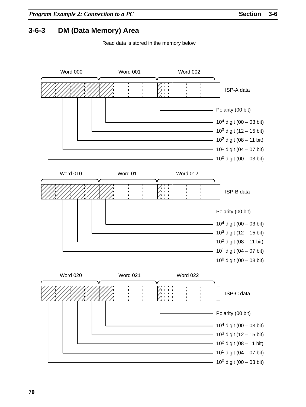## **3-6-3 DM (Data Memory) Area**

Read data is stored in the memory below.

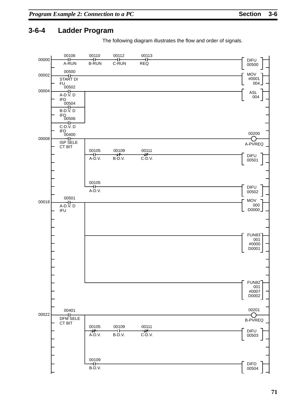#### **3-6-4 Ladder Program**

The following diagram illustrates the flow and order of signals.

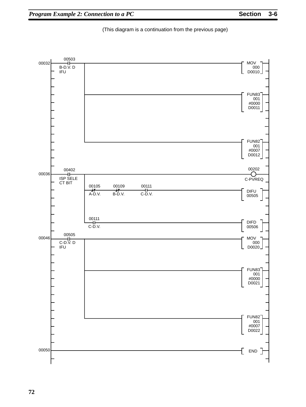(This diagram is a continuation from the previous page)

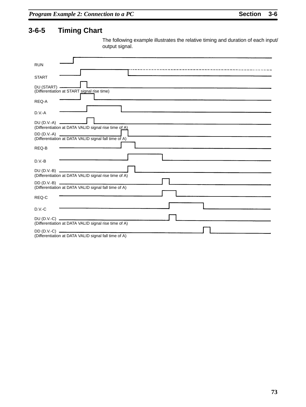# **3-6-5 Timing Chart**

The following example illustrates the relative timing and duration of each input/ output signal.

| <b>RUN</b>                                                                               |
|------------------------------------------------------------------------------------------|
| <b>START</b>                                                                             |
| DU (START) -<br>(Differentiation at START signal rise time)                              |
| REQ-A                                                                                    |
| $D.V.-A$                                                                                 |
| DU (D.V.-A) -<br>(Differentiation at DATA VALID signal rise time of A)                   |
| DD (D.V.-A) ___________________<br>(Differentiation at DATA VALID signal fall time of A) |
| REQ-B                                                                                    |
| $D.V.-B$                                                                                 |
| (Differentiation at DATA VALID signal rise time of A)                                    |
| $DD(D.V.-B)$<br>(Differentiation at DATA VALID signal fall time of A)                    |
| REQ-C                                                                                    |
| $D.V.-C$                                                                                 |
| DU (D.V.-C) _________<br>(Differentiation at DATA VALID signal rise time of A)           |
| $DD (D.V.-C)$<br>(Differentiation at DATA VALID signal fall time of A)                   |

(Differentiation at DATA VALID signal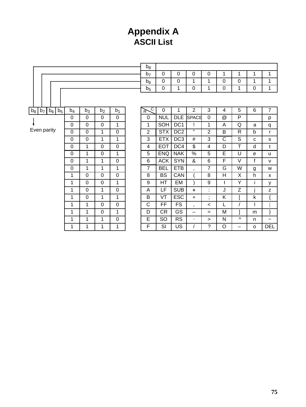# **Appendix A ASCII List**

|                                           |                |                |                |                | $b_8$               |             |                 |                          |                         |                 |                         |             |                |
|-------------------------------------------|----------------|----------------|----------------|----------------|---------------------|-------------|-----------------|--------------------------|-------------------------|-----------------|-------------------------|-------------|----------------|
|                                           |                |                |                |                | b <sub>7</sub>      | $\mathbf 0$ | 0               | 0                        | $\mathbf 0$             | 1               | 1                       | 1           | 1              |
|                                           |                |                |                |                | $b_6$               | $\mathbf 0$ | $\Omega$        | 1                        | 1                       | $\Omega$        | $\Omega$                | 1           | 1              |
|                                           |                |                |                |                | $b_5$               | $\pmb{0}$   | 1               | $\mathbf 0$              | 1                       | 0               | 1                       | $\mathbf 0$ | 1              |
|                                           |                |                |                |                |                     |             |                 |                          |                         |                 |                         |             |                |
| $b_5$<br>$b_8$<br>b <sub>7</sub><br>$b_6$ | $b_4$          | $b_3$          | b <sub>2</sub> | b <sub>1</sub> | $\overline{c}$<br>Ř | $\pmb{0}$   | 1               | $\overline{2}$           | 3                       | 4               | 5                       | $\,6$       | $\overline{7}$ |
|                                           | 0              | 0              | 0              | 0              | 0                   | <b>NUL</b>  | <b>DLE</b>      | <b>SPACE</b>             | 0                       | $^{\copyright}$ | P                       |             | р              |
|                                           | 0              | $\overline{0}$ | $\mathbf 0$    | 1              | 1                   | SOH         | DC <sub>1</sub> | Ţ                        | 1                       | A               | Q                       | a           | q              |
| Even parity                               | 0              | $\mathbf 0$    | 1              | $\mathbf 0$    | $\overline{2}$      | <b>STX</b>  | DC <sub>2</sub> | ,,                       | $\overline{2}$          | B               | $\mathsf{R}$            | b           | r              |
|                                           | $\overline{0}$ | $\mathbf 0$    | 1              | 1              | 3                   | <b>ETX</b>  | DC3             | $\#$                     | 3                       | $\mathsf{C}$    | $\overline{\mathsf{s}}$ | $\mathbf C$ | $\mathbb S$    |
|                                           | 0              | 1              | 0              | $\pmb{0}$      | 4                   | <b>EOT</b>  | DC4             | \$                       | $\overline{\mathbf{4}}$ | D               | T                       | d           | t              |
|                                           | 0              | 1              | 0              | 1              | 5                   | <b>ENQ</b>  | <b>NAK</b>      | $\overline{\frac{9}{6}}$ | $\overline{5}$          | E               | U                       | e           | u              |
|                                           | $\Omega$       | 1              | 1              | 0              | 6                   | <b>ACK</b>  | <b>SYN</b>      | &                        | 6                       | F               | V                       | f           | V              |
|                                           | 0              | 1              | 1              | 1              | $\overline{7}$      | <b>BEL</b>  | <b>ETB</b>      | $\overline{\phantom{a}}$ | $\overline{7}$          | G               | W                       | g           | W              |
|                                           | 1              | $\overline{0}$ | $\overline{0}$ | $\mathbf 0$    | 8                   | <b>BS</b>   | CAN             |                          | 8                       | H               | X                       | h           | X              |
|                                           | 1              | $\mathbf 0$    | $\mathbf 0$    | $\mathbf{1}$   | 9                   | HT          | EM              |                          | 9                       |                 | Y                       | j           | у              |
|                                           | 1              | $\mathbf 0$    | 1              | $\pmb{0}$      | A                   | LF          | <b>SUB</b>      | $\star$                  | t,                      | J               | Z                       |             | Z              |
|                                           | 1              | $\overline{0}$ | 1              | 1              | B                   | VT          | <b>ESC</b>      | $\ddot{}$                | $\vdots$                | Κ               |                         | k           | {              |
|                                           | 1              | 1              | 0              | $\pmb{0}$      | C                   | FF          | <b>FS</b>       | $\overline{\phantom{a}}$ | $\,<$                   | L               | $\prime$                |             |                |
|                                           | 1              | 1              | $\mathbf 0$    | 1              | D                   | <b>CR</b>   | GS              | $\overline{\phantom{0}}$ | $=$                     | M               | п                       | m           | $\}$           |
|                                           | 1              | 1              | 1              | $\mathbf 0$    | E                   | SO          | RS              |                          | $\geq$                  | $\mathsf{N}$    | $\boldsymbol{\wedge}$   | n           | ∼              |
|                                           | 1              | 1              | 1              | 1              | F                   | SI          | US              |                          | $\tilde{?}$             | $\circ$         | —                       | o           | <b>DEL</b>     |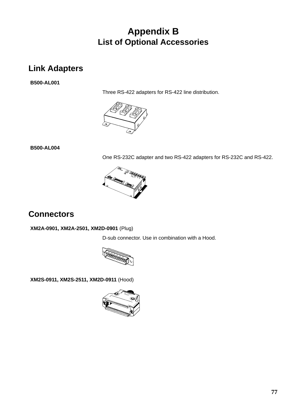# **Appendix B List of Optional Accessories**

# **Link Adapters**

**B500-AL001**

Three RS-422 adapters for RS-422 line distribution.



**B500-AL004**

One RS-232C adapter and two RS-422 adapters for RS-232C and RS-422.



# **Connectors**

**XM2A-0901, XM2A-2501, XM2D-0901** (Plug)

D-sub connector. Use in combination with a Hood.



**XM2S-0911, XM2S-2511, XM2D-0911** (Hood)

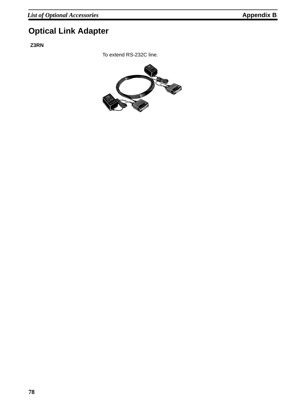# **Optical Link Adapter**

**Z3RN**

To extend RS-232C line.

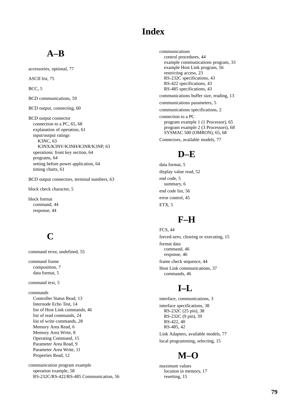# **Index**

# **A–B**

accessories, optional, 77

ASCII list, 75

BCC, 5

BCD communications, 59

BCD output, connecting, 60

BCD output connector connection to a PC, 65, 68 explanation of operation, 61 input/output ratings K3NC, 63 K3NX/K3NV/K3NH/K3NR/K3NP, 63 operations: front key section, 64 programs, 64 setting before power application, 64 timing charts, 61

BCD output connectors, terminal numbers, 63

block check character, 5

block format command, 44 response, 44

# **C**

command error, undefined, 55

command frame composition, 7 data format, 5

command text, 5

#### commands

Controller Status Read, 13 Internode Echo Test, 14 list of Host Link commands, 46 list of read commands, 24 list of write commands, 28 Memory Area Read, 6 Memory Area Write, 8 Operating Command, 15 Parameter Area Read, 9 Parameter Area Write, 11 Properties Read, 12

communication program example operation example, 58 RS-232C/RS-422/RS-485 Communication, 56 communications control procedures, 44 example communications program, 33 example Host Link program, 56 restricting access, 23 RS-232C specifications, 43 RS-422 specifications, 43 RS-485 specifications, 43 communications buffer size, reading, 13 communications parameters, 5 communications specifications, 2 connection to a PC program example 1 (1 Processor), 65 program example 2 (3 Processors), 68 SYSMAC 500 (OMRON), 65, 68 Connectors, available models, 77

# **D–E**

data format, 5 display value read, 52 end code, 5 summary, 6 end code list, 56 error control, 45 ETX, 5

## **F–H**

FCS, 44 forced-zero, clearing or executing, 15 format data command, 46 response, 46 frame check sequence, 44 Host Link communications, 37 commands, 46

## **I–L**

interface, communications, 3 interface specifications, 38 RS-232C (25 pin), 38 RS-232C (9 pin), 39 RS-422, 40 RS-485, 42 Link Adapters, available models, 77 local programming, selecting, 15

# **M–O**

maximum values location in memory, 17 resetting, 15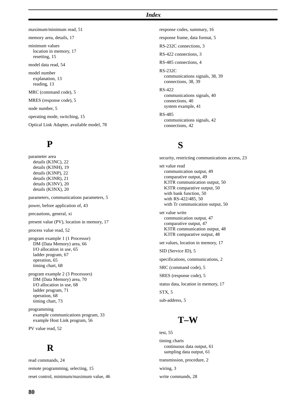#### *Index*

maximum/minimum read, 51

memory area, details, 17

minimum values location in memory, 17 resetting, 15

model data read, 54

model number explanation, 13 reading, 13

MRC (command code), 5

MRES (response code), 5

node number, 5

operating mode, switching, 15

Optical Link Adapter, available model, 78

# **P**

parameter area details (K3NC), 22 details (K3NH), 19 details (K3NP), 22 details (K3NR), 21 details (K3NV), 20 details (K3NX), 20 parameters, communications parameters, 5 power, before application of, 43 precautions, general, xi present value (PV), location in memory, 17 process value read, 52 program example 1 (1 Processor) DM (Data Memory) area, 66 I/O allocation in use, 65 ladder program, 67 operation, 65 timing chart, 68 program example 2 (3 Processors) DM (Data Memory) area, 70 I/O allocation in use, 68 ladder program, 71 operation, 68 timing chart, 73 programming example communications program, 33 example Host Link program, 56 PV value read, 52

## **R**

read commands, 24 remote programming, selecting, 15 reset control, minimum/maximum value, 46 response codes, summary, 16 response frame, data format, 5 RS-232C connections, 3 RS-422 connections, 3 RS-485 connections, 4 RS-232C communications signals, 38, 39 connections, 38, 39 RS-422 communications signals, 40 connections, 40 system example, 41 RS-485

communications signals, 42 connections, 42

# **S**

security, restricting communications access, 23 set value read communication output, 49 comparative output, 49 K3TR communication output, 50 K3TR comparative output, 50 with bank function, 50 with RS-422/485, 50 with Tr communication output, 50 set value write communication output, 47 comparative output, 47 K3TR communication output, 48 K3TR comparative output, 48 set values, location in memory, 17 SID (Service ID), 5 specifications, communications, 2 SRC (command code), 5 SRES (response code), 5 status data, location in memory, 17 STX, 5 sub-address, 5

**T–W**

test, 55 timing charts continuous data output, 61 sampling data output, 61 transmission, procedure, 2 wiring, 3 write commands, 28